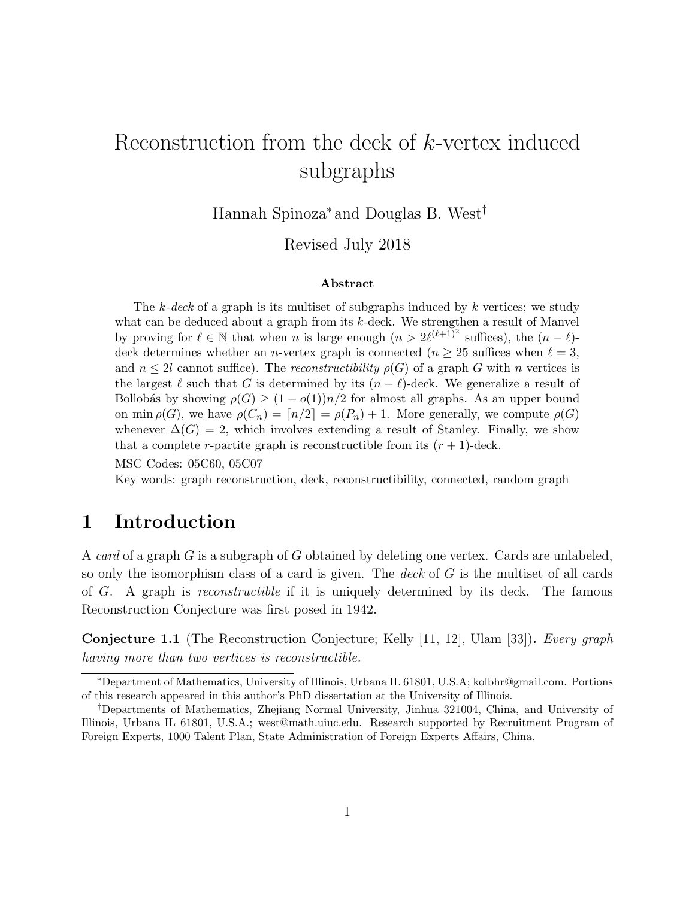# Reconstruction from the deck of k-vertex induced subgraphs

Hannah Spinoza<sup>∗</sup> and Douglas B. West†

Revised July 2018

#### Abstract

The  $k-deck$  of a graph is its multiset of subgraphs induced by k vertices; we study what can be deduced about a graph from its k-deck. We strengthen a result of Manvel by proving for  $\ell \in \mathbb{N}$  that when n is large enough  $(n > 2\ell^{(\ell+1)^2}$  suffices), the  $(n - \ell)$ deck determines whether an *n*-vertex graph is connected ( $n \geq 25$  suffices when  $\ell = 3$ , and  $n \leq 2l$  cannot suffice). The reconstructibility  $\rho(G)$  of a graph G with n vertices is the largest  $\ell$  such that G is determined by its  $(n - \ell)$ -deck. We generalize a result of Bollobás by showing  $\rho(G) \geq (1 - o(1))n/2$  for almost all graphs. As an upper bound on min  $\rho(G)$ , we have  $\rho(C_n) = \lceil n/2 \rceil = \rho(P_n) + 1$ . More generally, we compute  $\rho(G)$ whenever  $\Delta(G) = 2$ , which involves extending a result of Stanley. Finally, we show that a complete r-partite graph is reconstructible from its  $(r + 1)$ -deck.

MSC Codes: 05C60, 05C07

Key words: graph reconstruction, deck, reconstructibility, connected, random graph

### 1 Introduction

A card of a graph G is a subgraph of G obtained by deleting one vertex. Cards are unlabeled, so only the isomorphism class of a card is given. The deck of  $G$  is the multiset of all cards of G. A graph is reconstructible if it is uniquely determined by its deck. The famous Reconstruction Conjecture was first posed in 1942.

**Conjecture 1.1** (The Reconstruction Conjecture; Kelly [11, 12], Ulam [33]). Every graph having more than two vertices is reconstructible.

<sup>∗</sup>Department of Mathematics, University of Illinois, Urbana IL 61801, U.S.A; kolbhr@gmail.com. Portions of this research appeared in this author's PhD dissertation at the University of Illinois.

<sup>†</sup>Departments of Mathematics, Zhejiang Normal University, Jinhua 321004, China, and University of Illinois, Urbana IL 61801, U.S.A.; west@math.uiuc.edu. Research supported by Recruitment Program of Foreign Experts, 1000 Talent Plan, State Administration of Foreign Experts Affairs, China.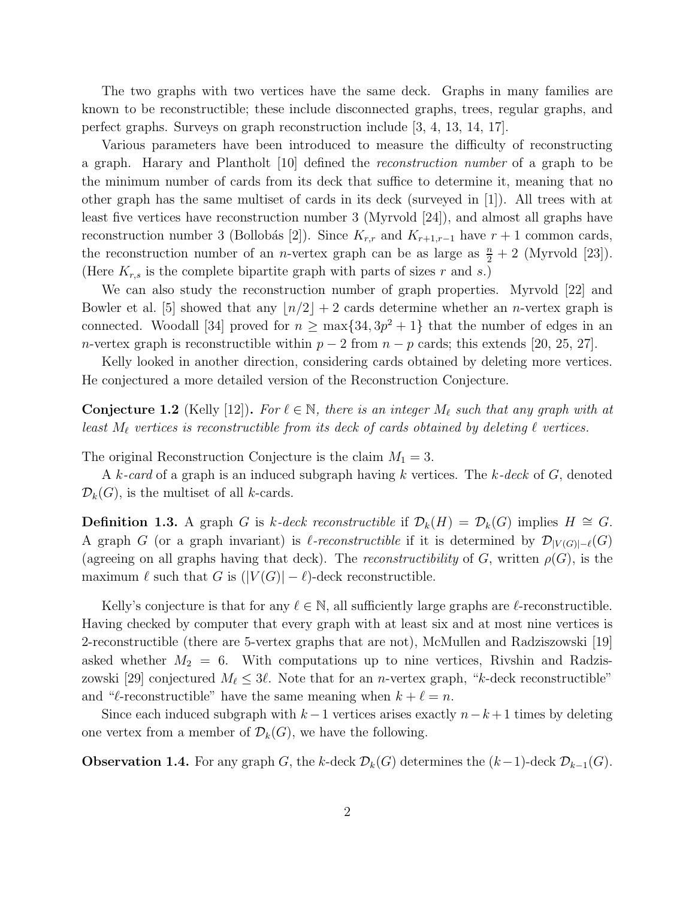The two graphs with two vertices have the same deck. Graphs in many families are known to be reconstructible; these include disconnected graphs, trees, regular graphs, and perfect graphs. Surveys on graph reconstruction include [3, 4, 13, 14, 17].

Various parameters have been introduced to measure the difficulty of reconstructing a graph. Harary and Plantholt [10] defined the reconstruction number of a graph to be the minimum number of cards from its deck that suffice to determine it, meaning that no other graph has the same multiset of cards in its deck (surveyed in [1]). All trees with at least five vertices have reconstruction number 3 (Myrvold [24]), and almost all graphs have reconstruction number 3 (Bollobás [2]). Since  $K_{r,r}$  and  $K_{r+1,r-1}$  have  $r+1$  common cards, the reconstruction number of an *n*-vertex graph can be as large as  $\frac{n}{2} + 2$  (Myrvold [23]). (Here  $K_{r,s}$  is the complete bipartite graph with parts of sizes r and s.)

We can also study the reconstruction number of graph properties. Myrvold [22] and Bowler et al. [5] showed that any  $\lfloor n/2 \rfloor + 2$  cards determine whether an *n*-vertex graph is connected. Woodall [34] proved for  $n \ge \max\{34, 3p^2 + 1\}$  that the number of edges in an n-vertex graph is reconstructible within  $p-2$  from  $n-p$  cards; this extends [20, 25, 27].

Kelly looked in another direction, considering cards obtained by deleting more vertices. He conjectured a more detailed version of the Reconstruction Conjecture.

**Conjecture 1.2** (Kelly [12]). For  $\ell \in \mathbb{N}$ , there is an integer  $M_{\ell}$  such that any graph with at least  $M_{\ell}$  vertices is reconstructible from its deck of cards obtained by deleting  $\ell$  vertices.

The original Reconstruction Conjecture is the claim  $M_1 = 3$ .

A k-card of a graph is an induced subgraph having k vertices. The k-deck of G, denoted  $\mathcal{D}_k(G)$ , is the multiset of all k-cards.

**Definition 1.3.** A graph G is k-deck reconstructible if  $\mathcal{D}_k(H) = \mathcal{D}_k(G)$  implies  $H \cong G$ . A graph G (or a graph invariant) is  $\ell$ -reconstructible if it is determined by  $\mathcal{D}_{|V(G)|-\ell}(G)$ (agreeing on all graphs having that deck). The reconstructibility of G, written  $\rho(G)$ , is the maximum  $\ell$  such that G is  $(|V(G)| - \ell)$ -deck reconstructible.

Kelly's conjecture is that for any  $\ell \in \mathbb{N}$ , all sufficiently large graphs are  $\ell$ -reconstructible. Having checked by computer that every graph with at least six and at most nine vertices is 2-reconstructible (there are 5-vertex graphs that are not), McMullen and Radziszowski [19] asked whether  $M_2 = 6$ . With computations up to nine vertices, Rivshin and Radziszowski [29] conjectured  $M_{\ell} \leq 3\ell$ . Note that for an *n*-vertex graph, "k-deck reconstructible" and " $\ell$ -reconstructible" have the same meaning when  $k + \ell = n$ .

Since each induced subgraph with  $k-1$  vertices arises exactly  $n-k+1$  times by deleting one vertex from a member of  $\mathcal{D}_k(G)$ , we have the following.

**Observation 1.4.** For any graph G, the k-deck  $\mathcal{D}_k(G)$  determines the  $(k-1)$ -deck  $\mathcal{D}_{k-1}(G)$ .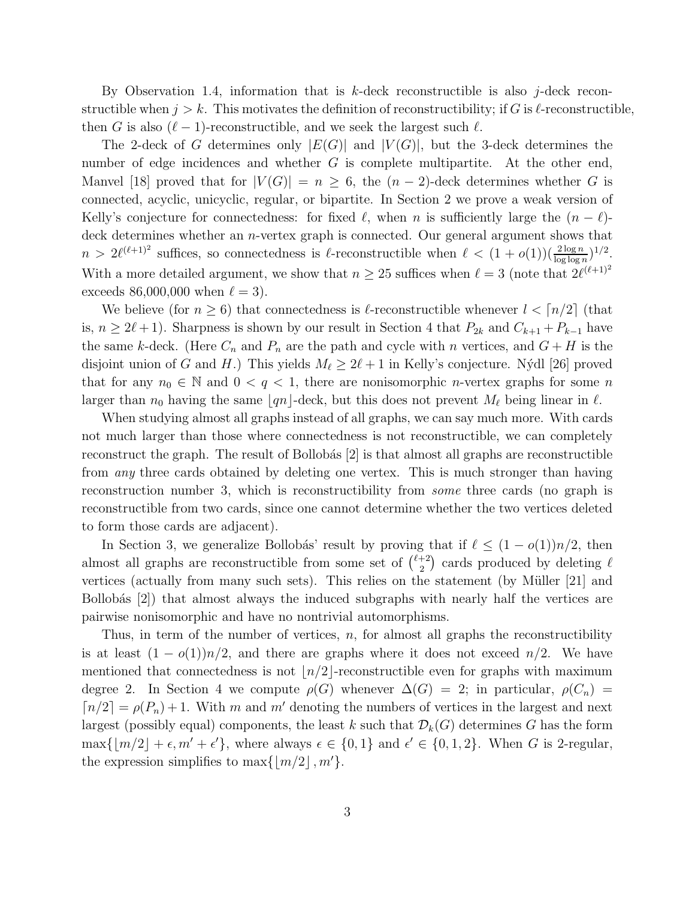By Observation 1.4, information that is  $k$ -deck reconstructible is also j-deck reconstructible when  $j > k$ . This motivates the definition of reconstructibility; if G is  $\ell$ -reconstructible, then G is also  $(\ell-1)$ -reconstructible, and we seek the largest such  $\ell$ .

The 2-deck of G determines only  $|E(G)|$  and  $|V(G)|$ , but the 3-deck determines the number of edge incidences and whether G is complete multipartite. At the other end, Manvel [18] proved that for  $|V(G)| = n \geq 6$ , the  $(n-2)$ -deck determines whether G is connected, acyclic, unicyclic, regular, or bipartite. In Section 2 we prove a weak version of Kelly's conjecture for connectedness: for fixed  $\ell$ , when n is sufficiently large the  $(n - \ell)$ deck determines whether an *n*-vertex graph is connected. Our general argument shows that  $n > 2\ell^{(\ell+1)^2}$  suffices, so connectedness is  $\ell$ -reconstructible when  $\ell < (1+o(1))(\frac{2\log n}{\log \log n})^{1/2}$ . With a more detailed argument, we show that  $n \geq 25$  suffices when  $\ell = 3$  (note that  $2\ell^{(\ell+1)^2}$ ) exceeds 86,000,000 when  $\ell = 3$ .

We believe (for  $n \geq 6$ ) that connectedness is  $\ell$ -reconstructible whenever  $l < \lceil n/2 \rceil$  (that is,  $n \geq 2\ell+1$ ). Sharpness is shown by our result in Section 4 that  $P_{2k}$  and  $C_{k+1} + P_{k-1}$  have the same k-deck. (Here  $C_n$  and  $P_n$  are the path and cycle with n vertices, and  $G + H$  is the disjoint union of G and H.) This yields  $M_{\ell} \geq 2\ell + 1$  in Kelly's conjecture. Nýdl [26] proved that for any  $n_0 \in \mathbb{N}$  and  $0 < q < 1$ , there are nonisomorphic *n*-vertex graphs for some *n* larger than  $n_0$  having the same  $\lfloor qn \rfloor$ -deck, but this does not prevent  $M_{\ell}$  being linear in  $\ell$ .

When studying almost all graphs instead of all graphs, we can say much more. With cards not much larger than those where connectedness is not reconstructible, we can completely reconstruct the graph. The result of Bollobás  $[2]$  is that almost all graphs are reconstructible from *any* three cards obtained by deleting one vertex. This is much stronger than having reconstruction number 3, which is reconstructibility from some three cards (no graph is reconstructible from two cards, since one cannot determine whether the two vertices deleted to form those cards are adjacent).

In Section 3, we generalize Bollobás' result by proving that if  $\ell \leq (1 - o(1))n/2$ , then almost all graphs are reconstructible from some set of  $\binom{\ell+2}{2}$  $\binom{+2}{2}$  cards produced by deleting  $\ell$ vertices (actually from many such sets). This relies on the statement (by Müller [21] and Bollobás  $[2]$ ) that almost always the induced subgraphs with nearly half the vertices are pairwise nonisomorphic and have no nontrivial automorphisms.

Thus, in term of the number of vertices,  $n$ , for almost all graphs the reconstructibility is at least  $(1 - o(1))n/2$ , and there are graphs where it does not exceed  $n/2$ . We have mentioned that connectedness is not  $\lfloor n/2 \rfloor$ -reconstructible even for graphs with maximum degree 2. In Section 4 we compute  $\rho(G)$  whenever  $\Delta(G) = 2$ ; in particular,  $\rho(C_n) =$  $\lceil n/2 \rceil = \rho(P_n) + 1$ . With m and m' denoting the numbers of vertices in the largest and next largest (possibly equal) components, the least k such that  $\mathcal{D}_k(G)$  determines G has the form  $\max\{|m/2| + \epsilon, m' + \epsilon'\},\$  where always  $\epsilon \in \{0, 1\}$  and  $\epsilon' \in \{0, 1, 2\}.$  When G is 2-regular, the expression simplifies to  $\max\{|m/2|, m'\}.$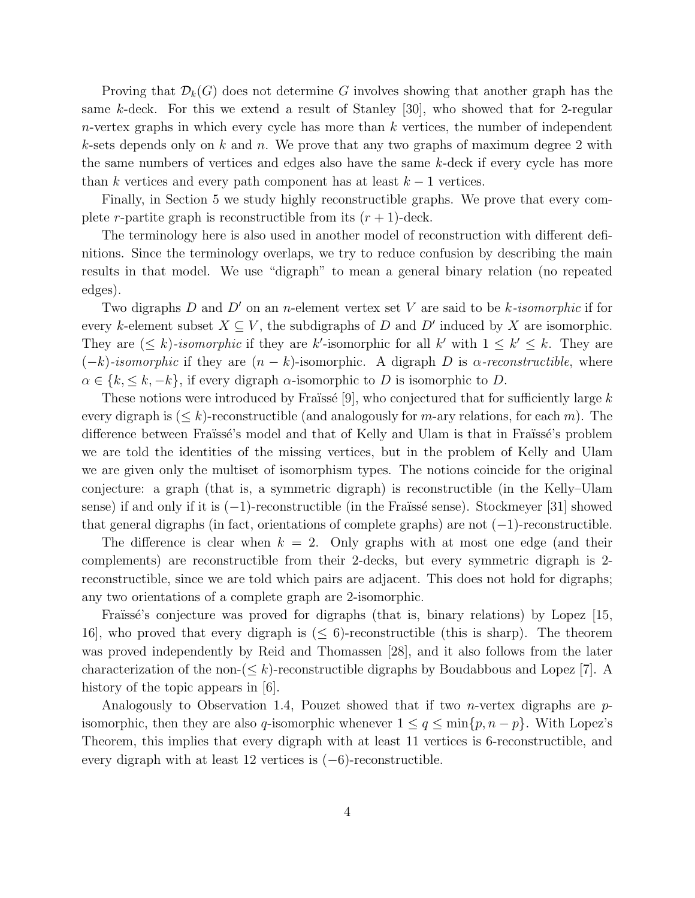Proving that  $\mathcal{D}_k(G)$  does not determine G involves showing that another graph has the same k-deck. For this we extend a result of Stanley  $[30]$ , who showed that for 2-regular  $n$ -vertex graphs in which every cycle has more than k vertices, the number of independent k-sets depends only on k and n. We prove that any two graphs of maximum degree 2 with the same numbers of vertices and edges also have the same k-deck if every cycle has more than k vertices and every path component has at least  $k-1$  vertices.

Finally, in Section 5 we study highly reconstructible graphs. We prove that every complete r-partite graph is reconstructible from its  $(r + 1)$ -deck.

The terminology here is also used in another model of reconstruction with different definitions. Since the terminology overlaps, we try to reduce confusion by describing the main results in that model. We use "digraph" to mean a general binary relation (no repeated edges).

Two digraphs  $D$  and  $D'$  on an n-element vertex set  $V$  are said to be k-isomorphic if for every k-element subset  $X \subseteq V$ , the subdigraphs of D and D' induced by X are isomorphic. They are  $(\leq k)$ -isomorphic if they are k'-isomorphic for all k' with  $1 \leq k' \leq k$ . They are  $(-k)$ -isomorphic if they are  $(n - k)$ -isomorphic. A digraph D is  $\alpha$ -reconstructible, where  $\alpha \in \{k, \leq k, -k\},$  if every digraph  $\alpha$ -isomorphic to D is isomorphic to D.

These notions were introduced by Fraïssé [9], who conjectured that for sufficiently large  $k$ every digraph is  $(\leq k)$ -reconstructible (and analogously for m-ary relations, for each m). The difference between Fraïssé's model and that of Kelly and Ulam is that in Fraïssé's problem we are told the identities of the missing vertices, but in the problem of Kelly and Ulam we are given only the multiset of isomorphism types. The notions coincide for the original conjecture: a graph (that is, a symmetric digraph) is reconstructible (in the Kelly–Ulam sense) if and only if it is  $(-1)$ -reconstructible (in the Fraïssé sense). Stockmeyer [31] showed that general digraphs (in fact, orientations of complete graphs) are not  $(-1)$ -reconstructible.

The difference is clear when  $k = 2$ . Only graphs with at most one edge (and their complements) are reconstructible from their 2-decks, but every symmetric digraph is 2 reconstructible, since we are told which pairs are adjacent. This does not hold for digraphs; any two orientations of a complete graph are 2-isomorphic.

Fraïssé's conjecture was proved for digraphs (that is, binary relations) by Lopez [15, 16, who proved that every digraph is  $(\leq 6)$ -reconstructible (this is sharp). The theorem was proved independently by Reid and Thomassen [28], and it also follows from the later characterization of the non- $(\leq k)$ -reconstructible digraphs by Boudabbous and Lopez [7]. A history of the topic appears in [6].

Analogously to Observation 1.4, Pouzet showed that if two *n*-vertex digraphs are  $p$ isomorphic, then they are also q-isomorphic whenever  $1 \le q \le \min\{p, n - p\}$ . With Lopez's Theorem, this implies that every digraph with at least 11 vertices is 6-reconstructible, and every digraph with at least 12 vertices is  $(-6)$ -reconstructible.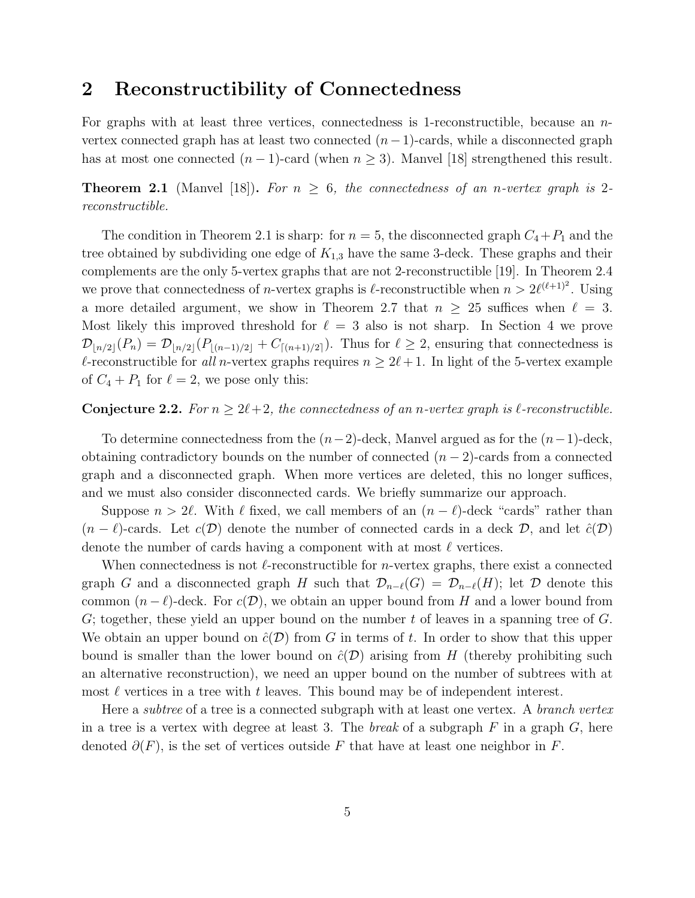### 2 Reconstructibility of Connectedness

For graphs with at least three vertices, connectedness is 1-reconstructible, because an nvertex connected graph has at least two connected  $(n-1)$ -cards, while a disconnected graph has at most one connected  $(n-1)$ -card (when  $n \geq 3$ ). Manvel [18] strengthened this result.

**Theorem 2.1** (Manvel [18]). For  $n \geq 6$ , the connectedness of an n-vertex graph is 2reconstructible.

The condition in Theorem 2.1 is sharp: for  $n = 5$ , the disconnected graph  $C_4 + P_1$  and the tree obtained by subdividing one edge of  $K_{1,3}$  have the same 3-deck. These graphs and their complements are the only 5-vertex graphs that are not 2-reconstructible [19]. In Theorem 2.4 we prove that connectedness of *n*-vertex graphs is  $\ell$ -reconstructible when  $n > 2\ell^{(\ell+1)^2}$ . Using a more detailed argument, we show in Theorem 2.7 that  $n \geq 25$  suffices when  $\ell = 3$ . Most likely this improved threshold for  $\ell = 3$  also is not sharp. In Section 4 we prove  $\mathcal{D}_{\lfloor n/2\rfloor}(P_n) = \mathcal{D}_{\lfloor n/2\rfloor}(P_{\lfloor (n-1)/2\rfloor}+C_{\lceil (n+1)/2\rceil}).$  Thus for  $\ell \geq 2$ , ensuring that connectedness is l-reconstructible for all n-vertex graphs requires  $n \geq 2l+1$ . In light of the 5-vertex example of  $C_4 + P_1$  for  $\ell = 2$ , we pose only this:

#### **Conjecture 2.2.** For  $n > 2\ell+2$ , the connectedness of an n-vertex graph is  $\ell$ -reconstructible.

To determine connectedness from the  $(n-2)$ -deck, Manvel argued as for the  $(n-1)$ -deck, obtaining contradictory bounds on the number of connected  $(n-2)$ -cards from a connected graph and a disconnected graph. When more vertices are deleted, this no longer suffices, and we must also consider disconnected cards. We briefly summarize our approach.

Suppose  $n > 2\ell$ . With  $\ell$  fixed, we call members of an  $(n - \ell)$ -deck "cards" rather than  $(n - \ell)$ -cards. Let  $c(\mathcal{D})$  denote the number of connected cards in a deck  $\mathcal{D}$ , and let  $\hat{c}(\mathcal{D})$ denote the number of cards having a component with at most  $\ell$  vertices.

When connectedness is not  $\ell$ -reconstructible for *n*-vertex graphs, there exist a connected graph G and a disconnected graph H such that  $\mathcal{D}_{n-\ell}(G) = \mathcal{D}_{n-\ell}(H)$ ; let D denote this common  $(n - \ell)$ -deck. For  $c(\mathcal{D})$ , we obtain an upper bound from H and a lower bound from G; together, these yield an upper bound on the number t of leaves in a spanning tree of  $G$ . We obtain an upper bound on  $\hat{c}(\mathcal{D})$  from G in terms of t. In order to show that this upper bound is smaller than the lower bound on  $\hat{c}(\mathcal{D})$  arising from H (thereby prohibiting such an alternative reconstruction), we need an upper bound on the number of subtrees with at most  $\ell$  vertices in a tree with  $t$  leaves. This bound may be of independent interest.

Here a *subtree* of a tree is a connected subgraph with at least one vertex. A *branch vertex* in a tree is a vertex with degree at least 3. The *break* of a subgraph  $F$  in a graph  $G$ , here denoted  $\partial(F)$ , is the set of vertices outside F that have at least one neighbor in F.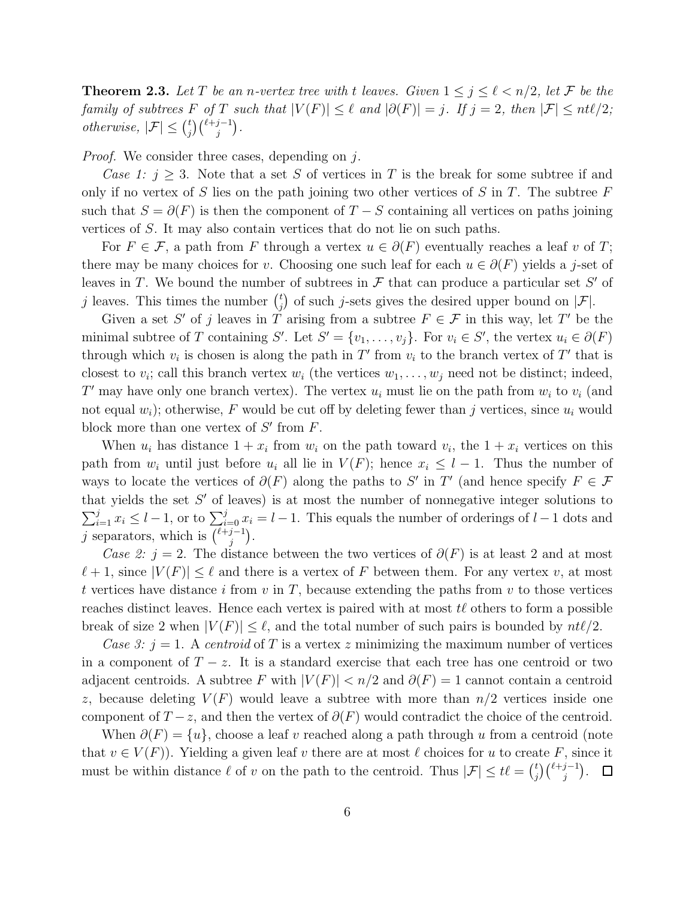**Theorem 2.3.** Let T be an n-vertex tree with t leaves. Given  $1 \leq j \leq \ell < n/2$ , let F be the family of subtrees F of T such that  $|V(F)| \leq \ell$  and  $|\partial(F)| = j$ . If  $j = 2$ , then  $|\mathcal{F}| \leq nt\ell/2$ ; otherwise,  $|\mathcal{F}| \leq {t \choose i}$  $j^{t}\binom{\ell+j-1}{j}$ .

Proof. We consider three cases, depending on j.

Case 1:  $j \geq 3$ . Note that a set S of vertices in T is the break for some subtree if and only if no vertex of S lies on the path joining two other vertices of S in T. The subtree  $F$ such that  $S = \partial(F)$  is then the component of  $T - S$  containing all vertices on paths joining vertices of S. It may also contain vertices that do not lie on such paths.

For  $F \in \mathcal{F}$ , a path from F through a vertex  $u \in \partial(F)$  eventually reaches a leaf v of T; there may be many choices for v. Choosing one such leaf for each  $u \in \partial(F)$  yields a j-set of leaves in T. We bound the number of subtrees in  $\mathcal F$  that can produce a particular set  $S'$  of j leaves. This times the number  $\binom{t}{i}$  $j$  of such j-sets gives the desired upper bound on  $|\mathcal{F}|$ .

Given a set S' of j leaves in T arising from a subtree  $F \in \mathcal{F}$  in this way, let T' be the minimal subtree of T containing S'. Let  $S' = \{v_1, \ldots, v_j\}$ . For  $v_i \in S'$ , the vertex  $u_i \in \partial(F)$ through which  $v_i$  is chosen is along the path in T' from  $v_i$  to the branch vertex of T' that is closest to  $v_i$ ; call this branch vertex  $w_i$  (the vertices  $w_1, \ldots, w_j$  need not be distinct; indeed, T' may have only one branch vertex). The vertex  $u_i$  must lie on the path from  $w_i$  to  $v_i$  (and not equal  $w_i$ ); otherwise, F would be cut off by deleting fewer than j vertices, since  $u_i$  would block more than one vertex of  $S'$  from  $F$ .

When  $u_i$  has distance  $1 + x_i$  from  $w_i$  on the path toward  $v_i$ , the  $1 + x_i$  vertices on this path from  $w_i$  until just before  $u_i$  all lie in  $V(F)$ ; hence  $x_i \leq l-1$ . Thus the number of ways to locate the vertices of  $\partial(F)$  along the paths to S' in T' (and hence specify  $F \in \mathcal{F}$ that yields the set  $S'$  of leaves) is at most the number of nonnegative integer solutions to  $\sum_{i=1}^{j} x_i \le l-1$ , or to  $\sum_{i=0}^{j} x_i = l-1$ . This equals the number of orderings of  $l-1$  dots and j separators, which is  $\binom{\ell+j-1}{i}$  $j^{-1}$ ).

Case 2: j = 2. The distance between the two vertices of  $\partial(F)$  is at least 2 and at most  $\ell+1$ , since  $|V(F)| \leq \ell$  and there is a vertex of F between them. For any vertex v, at most t vertices have distance i from  $v$  in  $T$ , because extending the paths from  $v$  to those vertices reaches distinct leaves. Hence each vertex is paired with at most  $t\ell$  others to form a possible break of size 2 when  $|V(F)| \leq \ell$ , and the total number of such pairs is bounded by  $nt\ell/2$ .

Case 3:  $j = 1$ . A centroid of T is a vertex z minimizing the maximum number of vertices in a component of  $T - z$ . It is a standard exercise that each tree has one centroid or two adjacent centroids. A subtree F with  $|V(F)| < n/2$  and  $\partial(F) = 1$  cannot contain a centroid z, because deleting  $V(F)$  would leave a subtree with more than  $n/2$  vertices inside one component of  $T-z$ , and then the vertex of  $\partial(F)$  would contradict the choice of the centroid.

When  $\partial(F) = \{u\}$ , choose a leaf v reached along a path through u from a centroid (note that  $v \in V(F)$ . Yielding a given leaf v there are at most  $\ell$  choices for u to create F, since it must be within distance  $\ell$  of v on the path to the centroid. Thus  $|\mathcal{F}| \leq t\ell = \binom{t}{i}$  $_{j}^{t}\big)\binom{\ell+j-1}{j}.$  $\Box$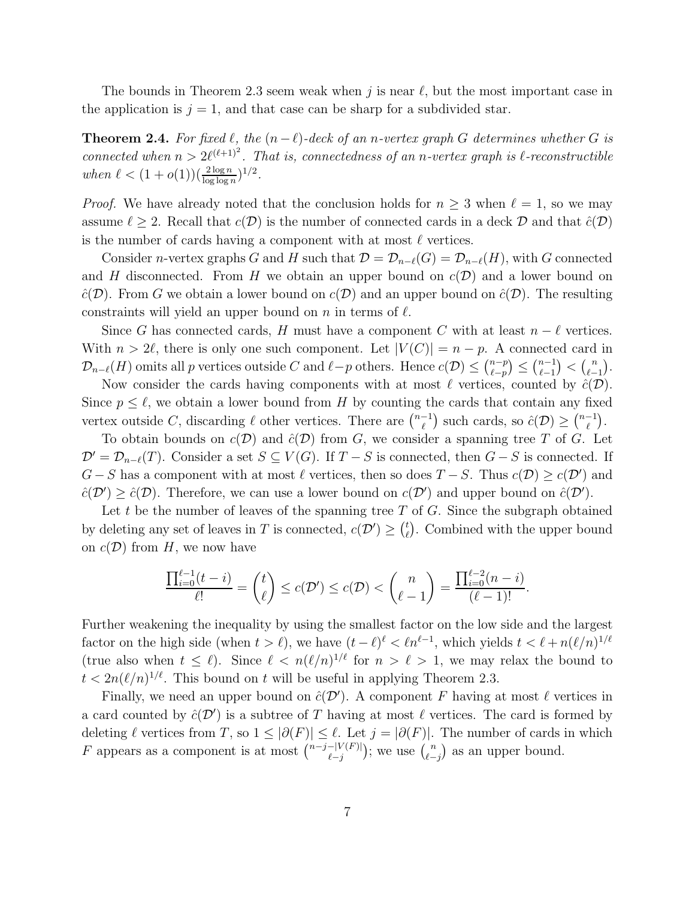The bounds in Theorem 2.3 seem weak when j is near  $\ell$ , but the most important case in the application is  $j = 1$ , and that case can be sharp for a subdivided star.

**Theorem 2.4.** For fixed  $\ell$ , the  $(n-\ell)$ -deck of an n-vertex graph G determines whether G is connected when  $n > 2\ell^{(\ell+1)^2}$ . That is, connectedness of an n-vertex graph is  $\ell$ -reconstructible when  $\ell < (1+o(1))(\frac{2\log n}{\log \log n})^{1/2}$ .

*Proof.* We have already noted that the conclusion holds for  $n \geq 3$  when  $\ell = 1$ , so we may assume  $\ell \geq 2$ . Recall that  $c(\mathcal{D})$  is the number of connected cards in a deck  $\mathcal{D}$  and that  $\hat{c}(\mathcal{D})$ is the number of cards having a component with at most  $\ell$  vertices.

Consider n-vertex graphs G and H such that  $\mathcal{D} = \mathcal{D}_{n-\ell}(G) = \mathcal{D}_{n-\ell}(H)$ , with G connected and H disconnected. From H we obtain an upper bound on  $c(\mathcal{D})$  and a lower bound on  $\hat{c}(\mathcal{D})$ . From G we obtain a lower bound on  $c(\mathcal{D})$  and an upper bound on  $\hat{c}(\mathcal{D})$ . The resulting constraints will yield an upper bound on n in terms of  $\ell$ .

Since G has connected cards, H must have a component C with at least  $n - \ell$  vertices. With  $n > 2\ell$ , there is only one such component. Let  $|V(C)| = n - p$ . A connected card in  $\mathcal{D}_{n-\ell}(H)$  omits all p vertices outside C and  $\ell-p$  others. Hence  $c(\mathcal{D}) \leq {n-p \choose \ell-p}$  $\binom{n-p}{\ell-p} \leq \binom{n-1}{\ell-1}$  $\binom{n-1}{\ell-1}<\binom{n}{\ell-1}$  $\binom{n}{\ell-1}$ .

Now consider the cards having components with at most  $\ell$  vertices, counted by  $\hat{c}(\mathcal{D})$ . Since  $p \leq \ell$ , we obtain a lower bound from H by counting the cards that contain any fixed vertex outside C, discarding  $\ell$  other vertices. There are  $\binom{n-1}{\ell}$  $\mathcal{L}_{\ell}^{-1}$ ) such cards, so  $\hat{c}(\mathcal{D}) \geq \binom{n-1}{\ell}$  $\begin{bmatrix} -1 \\ \ell \end{bmatrix}$ .

To obtain bounds on  $c(\mathcal{D})$  and  $\hat{c}(\mathcal{D})$  from G, we consider a spanning tree T of G. Let  $\mathcal{D}' = \mathcal{D}_{n-\ell}(T)$ . Consider a set  $S \subseteq V(G)$ . If  $T-S$  is connected, then  $G-S$  is connected. If  $G-S$  has a component with at most  $\ell$  vertices, then so does  $T-S$ . Thus  $c(\mathcal{D}) \geq c(\mathcal{D}')$  and  $\hat{c}(\mathcal{D}') \geq \hat{c}(\mathcal{D})$ . Therefore, we can use a lower bound on  $c(\mathcal{D}')$  and upper bound on  $\hat{c}(\mathcal{D}')$ .

Let t be the number of leaves of the spanning tree  $T$  of  $G$ . Since the subgraph obtained by deleting any set of leaves in T is connected,  $c(\mathcal{D}') \geq {t \choose \ell}$  $\ell$ . Combined with the upper bound on  $c(\mathcal{D})$  from H, we now have

$$
\frac{\prod_{i=0}^{\ell-1}(t-i)}{\ell!} = \binom{t}{\ell} \le c(\mathcal{D}') \le c(\mathcal{D}) < \binom{n}{\ell-1} = \frac{\prod_{i=0}^{\ell-2}(n-i)}{(\ell-1)!}.
$$

Further weakening the inequality by using the smallest factor on the low side and the largest factor on the high side (when  $t > \ell$ ), we have  $(t - \ell)^{\ell} < \ell n^{\ell-1}$ , which yields  $t < \ell + n(\ell/n)^{1/\ell}$ (true also when  $t \leq \ell$ ). Since  $\ell < n(\ell/n)^{1/\ell}$  for  $n > \ell > 1$ , we may relax the bound to  $t < 2n(\ell/n)^{1/\ell}$ . This bound on t will be useful in applying Theorem 2.3.

Finally, we need an upper bound on  $\hat{c}(\mathcal{D}')$ . A component F having at most  $\ell$  vertices in a card counted by  $\hat{c}(\mathcal{D}')$  is a subtree of T having at most  $\ell$  vertices. The card is formed by deleting  $\ell$  vertices from T, so  $1 \leq |\partial(F)| \leq \ell$ . Let  $j = |\partial(F)|$ . The number of cards in which F appears as a component is at most  $\binom{n-j-|V(F)|}{\ell-i}$  $\binom{-|V(F)|}{\ell-j};$  we use  $\binom{n}{\ell-j}$  $\binom{n}{\ell-j}$  as an upper bound.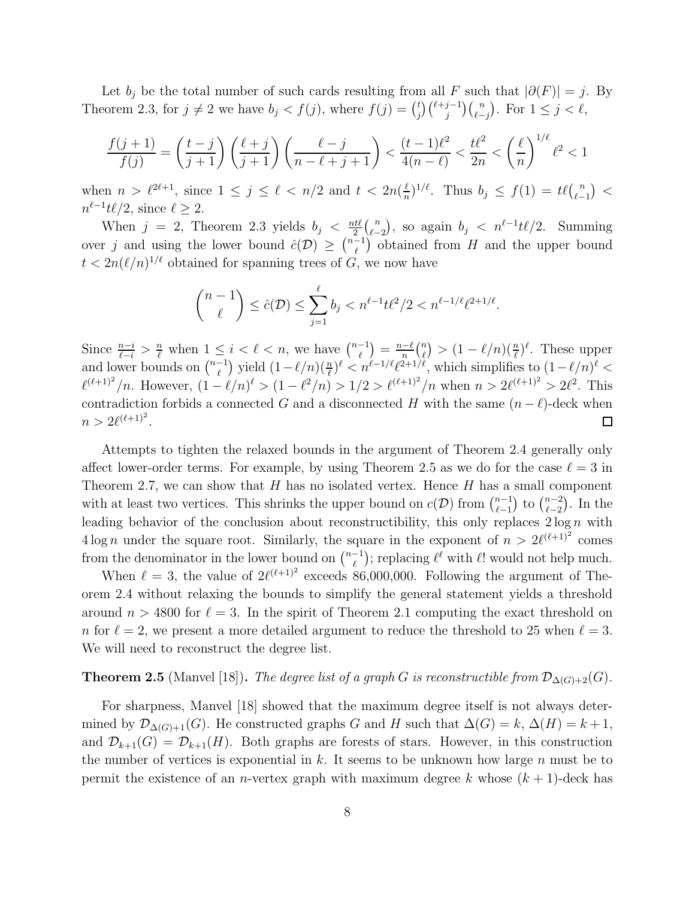Let  $b_j$  be the total number of such cards resulting from all F such that  $|\partial(F)| = j$ . By Theorem 2.3, for  $j \neq 2$  we have  $b_j < f(j)$ , where  $f(j) = \binom{t}{j}$  $\binom{t}{j} \binom{\ell+j-1}{j} \binom{n}{\ell-j}$ . For  $1 \leq j < \ell$ ,

$$
\frac{f(j+1)}{f(j)} = \left(\frac{t-j}{j+1}\right) \left(\frac{\ell+j}{j+1}\right) \left(\frac{\ell-j}{n-\ell+j+1}\right) < \frac{(t-1)\ell^2}{4(n-\ell)} < \frac{t\ell^2}{2n} < \left(\frac{\ell}{n}\right)^{1/\ell} \ell^2 < 1
$$

when  $n > l^{2\ell+1}$ , since  $1 \leq j \leq l < n/2$  and  $t < 2n(\frac{l}{n})$  $\frac{\ell}{n}$ )<sup>1/ $\ell$ </sup>. Thus  $b_j \leq f(1) = t\ell\binom{n}{\ell-1}$  $_{\ell-1}^n$ ) <  $n^{\ell-1}t\ell/2$ , since  $\ell \geq 2$ .

When  $j = 2$ , Theorem 2.3 yields  $b_j < \frac{nt\ell}{2}$  $rac{it\ell}{2}$   $\binom{n}{\ell}$  $\binom{n}{\ell-2}$ , so again  $b_j \, < \, n^{\ell-1} t \ell/2$ . Summing over j and using the lower bound  $\hat{c}(\mathcal{D}) \geq {n-1 \choose \ell}$  $\binom{-1}{\ell}$  obtained from H and the upper bound  $t < 2n(\ell/n)^{1/\ell}$  obtained for spanning trees of G, we now have

$$
\binom{n-1}{\ell} \leq \hat{c}(\mathcal{D}) \leq \sum_{j=1}^{\ell} b_j < n^{\ell-1} t \ell^2 / 2 < n^{\ell-1/\ell} \ell^{2+1/\ell}.
$$

Since  $\frac{n-i}{\ell-i} > \frac{n}{\ell}$  when  $1 \leq i < \ell < n$ , we have  $\binom{n-1}{\ell}$  $\frac{-\ell}{n}$  $\binom{n}{\ell}$  $\binom{-1}{\ell} = \frac{n-\ell}{n}$  $\binom{n}{\ell} > (1 - \ell/n) \left(\frac{n}{\ell}\right)^{\ell}$ . These upper and lower bounds on  $\binom{n-1}{\ell}$  $\binom{-1}{\ell}$  yield  $(1-\ell/n)(\frac{n}{\ell})^{\ell} < n^{\ell-1/\ell}\ell^{2+1/\ell}$ , which simplifies to  $(1-\ell/n)^{\ell} <$  $\ell^{(\ell+1)^2}/n$ . However,  $(1-\ell/n)^{\ell} > (1-\ell^2/n) > 1/2 > \ell^{(\ell+1)^2}/n$  when  $n > 2\ell^{(\ell+1)^2} > 2\ell^2$ . This contradiction forbids a connected G and a disconnected H with the same  $(n - \ell)$ -deck when  $n > 2\ell^{(\ell+1)^2}.$  $\Box$ 

Attempts to tighten the relaxed bounds in the argument of Theorem 2.4 generally only affect lower-order terms. For example, by using Theorem 2.5 as we do for the case  $\ell = 3$  in Theorem 2.7, we can show that  $H$  has no isolated vertex. Hence  $H$  has a small component with at least two vertices. This shrinks the upper bound on  $c(\mathcal{D})$  from  $\binom{n-1}{\ell-1}$  $_{\ell-1}^{n-1}$ ) to  $\binom{n-2}{\ell-2}$  $_{\ell=2}^{n-2}$ ). In the leading behavior of the conclusion about reconstructibility, this only replaces  $2 \log n$  with  $4 \log n$  under the square root. Similarly, the square in the exponent of  $n > 2\ell^{(\ell+1)^2}$  comes from the denominator in the lower bound on  $\binom{n-1}{\ell}$  $\ell(\ell)}(e^{\ell})$ ; replacing  $\ell^{\ell}$  with  $\ell!$  would not help much.

When  $\ell = 3$ , the value of  $2\ell^{(\ell+1)^2}$  exceeds 86,000,000. Following the argument of Theorem 2.4 without relaxing the bounds to simplify the general statement yields a threshold around  $n > 4800$  for  $\ell = 3$ . In the spirit of Theorem 2.1 computing the exact threshold on n for  $\ell = 2$ , we present a more detailed argument to reduce the threshold to 25 when  $\ell = 3$ . We will need to reconstruct the degree list.

### **Theorem 2.5** (Manvel [18]). The degree list of a graph G is reconstructible from  $\mathcal{D}_{\Delta(G)+2}(G)$ .

For sharpness, Manvel [18] showed that the maximum degree itself is not always determined by  $\mathcal{D}_{\Delta(G)+1}(G)$ . He constructed graphs G and H such that  $\Delta(G) = k$ ,  $\Delta(H) = k + 1$ , and  $\mathcal{D}_{k+1}(G) = \mathcal{D}_{k+1}(H)$ . Both graphs are forests of stars. However, in this construction the number of vertices is exponential in  $k$ . It seems to be unknown how large  $n$  must be to permit the existence of an *n*-vertex graph with maximum degree k whose  $(k + 1)$ -deck has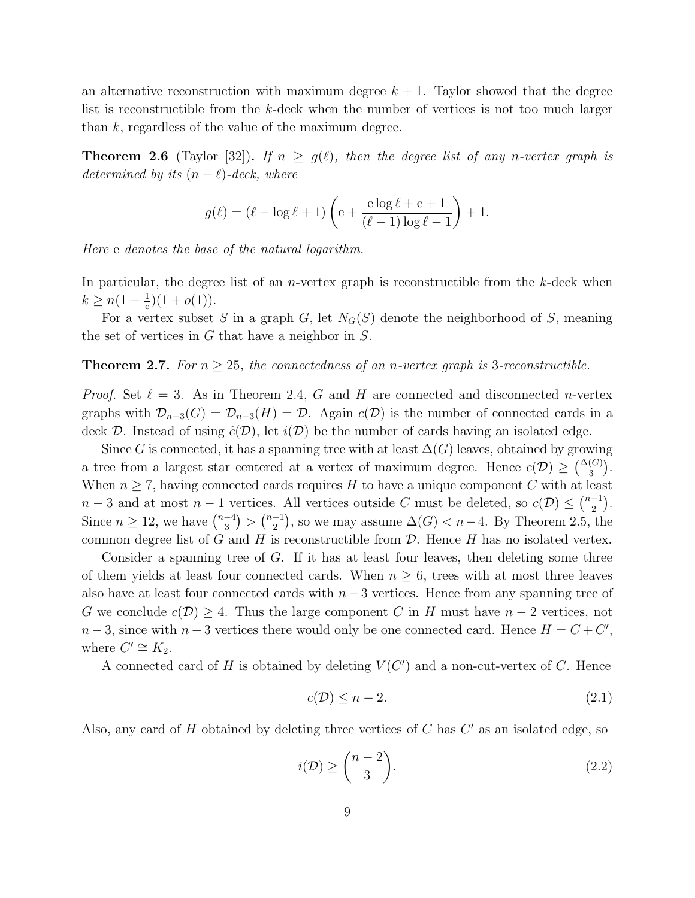an alternative reconstruction with maximum degree  $k + 1$ . Taylor showed that the degree list is reconstructible from the k-deck when the number of vertices is not too much larger than  $k$ , regardless of the value of the maximum degree.

**Theorem 2.6** (Taylor [32]). If  $n \ge g(\ell)$ , then the degree list of any n-vertex graph is determined by its  $(n - \ell)$ -deck, where

$$
g(\ell) = (\ell - \log \ell + 1) \left( e + \frac{e \log \ell + e + 1}{(\ell - 1) \log \ell - 1} \right) + 1.
$$

Here e denotes the base of the natural logarithm.

In particular, the degree list of an *n*-vertex graph is reconstructible from the  $k$ -deck when  $k \geq n(1-\frac{1}{e})$  $(\frac{1}{e})(1+o(1)).$ 

For a vertex subset S in a graph G, let  $N_G(S)$  denote the neighborhood of S, meaning the set of vertices in  $G$  that have a neighbor in  $S$ .

#### **Theorem 2.7.** For  $n \geq 25$ , the connectedness of an *n*-vertex graph is 3-reconstructible.

*Proof.* Set  $\ell = 3$ . As in Theorem 2.4, G and H are connected and disconnected n-vertex graphs with  $\mathcal{D}_{n-3}(G) = \mathcal{D}_{n-3}(H) = \mathcal{D}$ . Again  $c(\mathcal{D})$  is the number of connected cards in a deck D. Instead of using  $\hat{c}(\mathcal{D})$ , let  $i(\mathcal{D})$  be the number of cards having an isolated edge.

Since G is connected, it has a spanning tree with at least  $\Delta(G)$  leaves, obtained by growing a tree from a largest star centered at a vertex of maximum degree. Hence  $c(\mathcal{D}) \geq {\Delta(G) \choose 3}$ . When  $n \geq 7$ , having connected cards requires H to have a unique component C with at least  $n-3$  and at most  $n-1$  vertices. All vertices outside C must be deleted, so  $c(\mathcal{D}) \leq {n-1 \choose 2}$  $\binom{-1}{2}$ . Since  $n \geq 12$ , we have  $\binom{n-4}{3}$  $\binom{-4}{3}$  >  $\binom{n-1}{2}$  $\binom{-1}{2}$ , so we may assume  $\Delta(G) < n-4$ . By Theorem 2.5, the common degree list of G and H is reconstructible from  $\mathcal D$ . Hence H has no isolated vertex.

Consider a spanning tree of  $G$ . If it has at least four leaves, then deleting some three of them yields at least four connected cards. When  $n \geq 6$ , trees with at most three leaves also have at least four connected cards with  $n-3$  vertices. Hence from any spanning tree of G we conclude  $c(\mathcal{D}) > 4$ . Thus the large component C in H must have  $n-2$  vertices, not  $n-3$ , since with  $n-3$  vertices there would only be one connected card. Hence  $H = C + C'$ , where  $C' \cong K_2$ .

A connected card of H is obtained by deleting  $V(C')$  and a non-cut-vertex of C. Hence

$$
c(\mathcal{D}) \le n - 2. \tag{2.1}
$$

Also, any card of  $H$  obtained by deleting three vertices of  $C$  has  $C'$  as an isolated edge, so

$$
i(\mathcal{D}) \ge \binom{n-2}{3}.\tag{2.2}
$$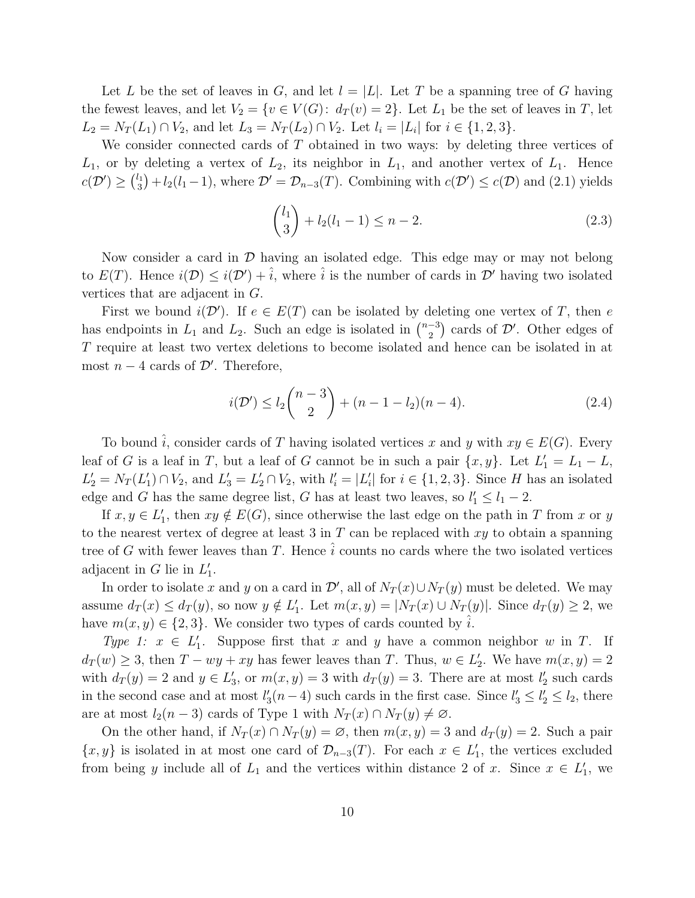Let L be the set of leaves in G, and let  $l = |L|$ . Let T be a spanning tree of G having the fewest leaves, and let  $V_2 = \{v \in V(G): d_T(v) = 2\}$ . Let  $L_1$  be the set of leaves in T, let  $L_2 = N_T(L_1) \cap V_2$ , and let  $L_3 = N_T(L_2) \cap V_2$ . Let  $l_i = |L_i|$  for  $i \in \{1, 2, 3\}$ .

We consider connected cards of T obtained in two ways: by deleting three vertices of  $L_1$ , or by deleting a vertex of  $L_2$ , its neighbor in  $L_1$ , and another vertex of  $L_1$ . Hence  $c(\mathcal{D}') \geq {l_1 \choose 3}$  $\mathcal{L}_3^{l_1}$  +  $l_2(l_1-1)$ , where  $\mathcal{D}' = \mathcal{D}_{n-3}(T)$ . Combining with  $c(\mathcal{D}') \leq c(\mathcal{D})$  and (2.1) yields

$$
\binom{l_1}{3} + l_2(l_1 - 1) \le n - 2. \tag{2.3}
$$

Now consider a card in  $\mathcal D$  having an isolated edge. This edge may or may not belong to  $E(T)$ . Hence  $i(\mathcal{D}) \leq i(\mathcal{D}') + \hat{i}$ , where  $\hat{i}$  is the number of cards in  $\mathcal{D}'$  having two isolated vertices that are adjacent in G.

First we bound  $i(\mathcal{D}')$ . If  $e \in E(T)$  can be isolated by deleting one vertex of T, then e has endpoints in  $L_1$  and  $L_2$ . Such an edge is isolated in  $\binom{n-3}{2}$  $\binom{-3}{2}$  cards of  $\mathcal{D}'$ . Other edges of T require at least two vertex deletions to become isolated and hence can be isolated in at most  $n-4$  cards of  $\mathcal{D}'$ . Therefore,

$$
i(\mathcal{D}') \le l_2 \binom{n-3}{2} + (n-1-l_2)(n-4). \tag{2.4}
$$

To bound  $\hat{i}$ , consider cards of T having isolated vertices x and y with  $xy \in E(G)$ . Every leaf of G is a leaf in T, but a leaf of G cannot be in such a pair  $\{x, y\}$ . Let  $L'_1 = L_1 - L$ ,  $L'_2 = N_T(L'_1) \cap V_2$ , and  $L'_3 = L'_2 \cap V_2$ , with  $l'_i = |L'_i|$  for  $i \in \{1, 2, 3\}$ . Since H has an isolated edge and G has the same degree list, G has at least two leaves, so  $l'_1 \leq l_1 - 2$ .

If  $x, y \in L'_1$ , then  $xy \notin E(G)$ , since otherwise the last edge on the path in T from x or y to the nearest vertex of degree at least  $3$  in  $T$  can be replaced with  $xy$  to obtain a spanning tree of G with fewer leaves than T. Hence  $\hat{i}$  counts no cards where the two isolated vertices adjacent in  $G$  lie in  $L'_1$ .

In order to isolate x and y on a card in  $\mathcal{D}'$ , all of  $N_T(x) \cup N_T(y)$  must be deleted. We may assume  $d_T(x) \leq d_T(y)$ , so now  $y \notin L'_1$ . Let  $m(x, y) = |N_T(x) \cup N_T(y)|$ . Since  $d_T(y) \geq 2$ , we have  $m(x, y) \in \{2, 3\}$ . We consider two types of cards counted by  $\hat{i}$ .

Type 1:  $x \in L'_1$ . Suppose first that x and y have a common neighbor w in T. If  $d_T(w) \geq 3$ , then  $T - wy + xy$  has fewer leaves than T. Thus,  $w \in L'_2$ . We have  $m(x, y) = 2$ with  $d_T(y) = 2$  and  $y \in L'_3$ , or  $m(x, y) = 3$  with  $d_T(y) = 3$ . There are at most  $l'_2$  such cards in the second case and at most  $l'_3(n-4)$  such cards in the first case. Since  $l'_3 \leq l'_2 \leq l_2$ , there are at most  $l_2(n-3)$  cards of Type 1 with  $N_T(x) \cap N_T(y) \neq \emptyset$ .

On the other hand, if  $N_T(x) \cap N_T(y) = \emptyset$ , then  $m(x, y) = 3$  and  $d_T(y) = 2$ . Such a pair  $\{x, y\}$  is isolated in at most one card of  $\mathcal{D}_{n-3}(T)$ . For each  $x \in L'_1$ , the vertices excluded from being y include all of  $L_1$  and the vertices within distance 2 of x. Since  $x \in L'_1$ , we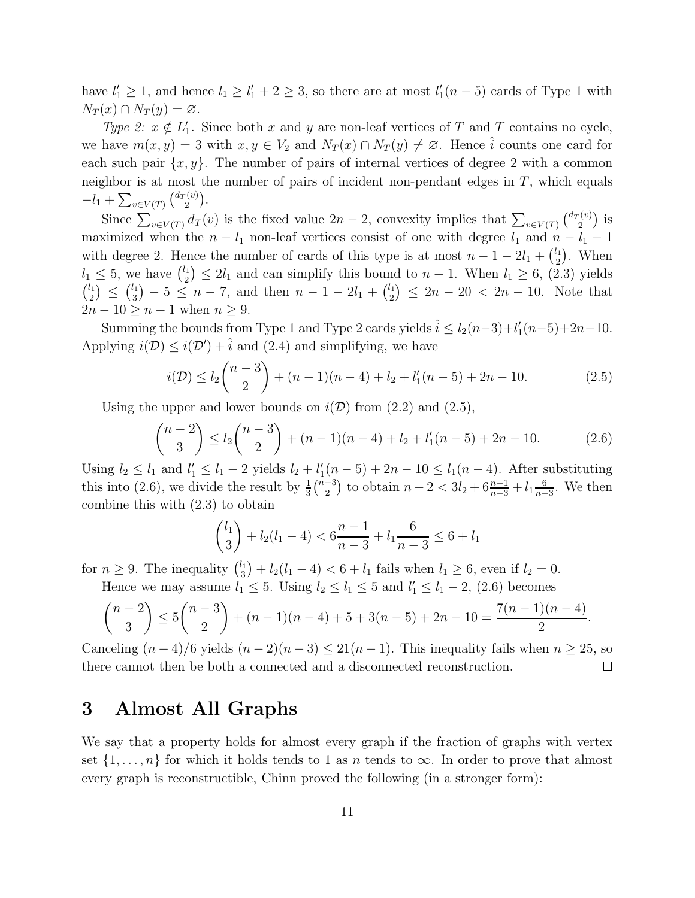have  $l'_1 \geq 1$ , and hence  $l_1 \geq l'_1 + 2 \geq 3$ , so there are at most  $l'_1(n-5)$  cards of Type 1 with  $N_T(x) \cap N_T(y) = \varnothing.$ 

Type 2:  $x \notin L'_1$ . Since both x and y are non-leaf vertices of T and T contains no cycle, we have  $m(x, y) = 3$  with  $x, y \in V_2$  and  $N_T(x) \cap N_T(y) \neq \emptyset$ . Hence  $\hat{i}$  counts one card for each such pair  $\{x, y\}$ . The number of pairs of internal vertices of degree 2 with a common neighbor is at most the number of pairs of incident non-pendant edges in  $T$ , which equals  $-l_1 + \sum_{v \in V(T)} \binom{d_T(v)}{2}$  $\binom{v(v)}{2}$ .

Since  $\sum_{v \in V(T)} d_T(v)$  is the fixed value  $2n-2$ , convexity implies that  $\sum_{v \in V(T)} \binom{d_T(v)}{2}$  $i_2^{(v)}$ ) is maximized when the  $n - l_1$  non-leaf vertices consist of one with degree  $l_1$  and  $n - l_1 - 1$ with degree 2. Hence the number of cards of this type is at most  $n-1-2l_1+\binom{l_1}{2}$  $\binom{l_1}{2}$ . When  $l_1 \leq 5$ , we have  $\binom{l_1}{2}$  $\binom{l_1}{2} \leq 2l_1$  and can simplify this bound to  $n-1$ . When  $l_1 \geq 6$ , (2.3) yields  $\binom{l_1}{2}$  $\binom{l_1}{2} \leq \binom{l_1}{3}$  $\binom{l_1}{3}$  – 5  $\leq n-7$ , and then  $n-1-2l_1+\binom{l_1}{2}$  $\binom{l_1}{2} \leq 2n - 20 < 2n - 10$ . Note that  $2n-10 \geq n-1$  when  $n \geq 9$ .

Summing the bounds from Type 1 and Type 2 cards yields  $\hat{i} \leq l_2(n-3)+l'_1(n-5)+2n-10$ . Applying  $i(\mathcal{D}) \leq i(\mathcal{D}') + \hat{i}$  and (2.4) and simplifying, we have

$$
i(\mathcal{D}) \le l_2 \binom{n-3}{2} + (n-1)(n-4) + l_2 + l'_1(n-5) + 2n - 10.
$$
 (2.5)

Using the upper and lower bounds on  $i(\mathcal{D})$  from (2.2) and (2.5),

$$
\binom{n-2}{3} \le l_2 \binom{n-3}{2} + (n-1)(n-4) + l_2 + l'_1(n-5) + 2n - 10.
$$
 (2.6)

Using  $l_2 \le l_1$  and  $l'_1 \le l_1 - 2$  yields  $l_2 + l'_1(n-5) + 2n - 10 \le l_1(n-4)$ . After substituting this into (2.6), we divide the result by  $\frac{1}{3}$  $\binom{n-3}{2}$  $\binom{-3}{2}$  to obtain  $n-2 < 3l_2 + 6\frac{n-1}{n-3} + l_1\frac{6}{n-3}$  $\frac{6}{n-3}$ . We then combine this with (2.3) to obtain

$$
\binom{l_1}{3} + l_2(l_1 - 4) < 6\frac{n-1}{n-3} + l_1 \frac{6}{n-3} \le 6 + l_1
$$

for  $n \geq 9$ . The inequality  $\binom{l_1}{3}$  $(l_3^{\prime 1}) + l_2(l_1 - 4) < 6 + l_1$  fails when  $l_1 \geq 6$ , even if  $l_2 = 0$ .

Hence we may assume 
$$
l_1 \le 5
$$
. Using  $l_2 \le l_1 \le 5$  and  $l'_1 \le l_1 - 2$ , (2.6) becomes\n
$$
\binom{n-2}{3} \le 5\binom{n-3}{2} + (n-1)(n-4) + 5 + 3(n-5) + 2n - 10 = \frac{7(n-1)(n-4)}{2}.
$$

Canceling  $(n-4)/6$  yields  $(n-2)(n-3) \leq 21(n-1)$ . This inequality fails when  $n \geq 25$ , so there cannot then be both a connected and a disconnected reconstruction.  $\Box$ 

## 3 Almost All Graphs

We say that a property holds for almost every graph if the fraction of graphs with vertex set  $\{1, \ldots, n\}$  for which it holds tends to 1 as n tends to  $\infty$ . In order to prove that almost every graph is reconstructible, Chinn proved the following (in a stronger form):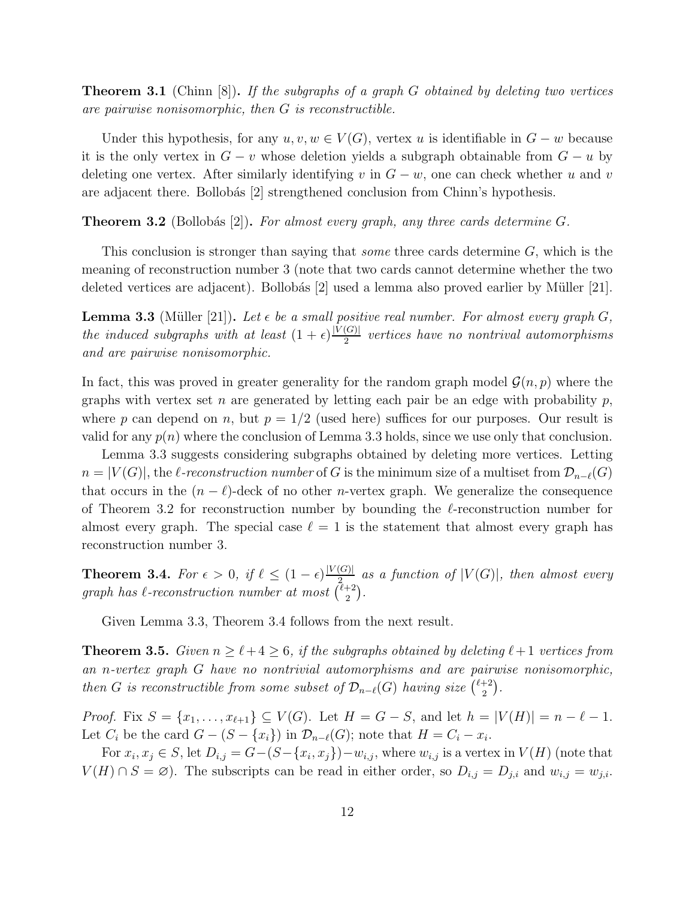**Theorem 3.1** (Chinn [8]). If the subgraphs of a graph G obtained by deleting two vertices are pairwise nonisomorphic, then G is reconstructible.

Under this hypothesis, for any  $u, v, w \in V(G)$ , vertex u is identifiable in  $G - w$  because it is the only vertex in  $G - v$  whose deletion yields a subgraph obtainable from  $G - u$  by deleting one vertex. After similarly identifying v in  $G - w$ , one can check whether u and v are adjacent there. Bollobás [2] strengthened conclusion from Chinn's hypothesis.

**Theorem 3.2** (Bollobás [2]). For almost every graph, any three cards determine G.

This conclusion is stronger than saying that *some* three cards determine  $G$ , which is the meaning of reconstruction number 3 (note that two cards cannot determine whether the two deleted vertices are adjacent). Bollobás  $[2]$  used a lemma also proved earlier by Müller  $[21]$ .

**Lemma 3.3** (Müller [21]). Let  $\epsilon$  be a small positive real number. For almost every graph  $G_i$ the induced subgraphs with at least  $(1+\epsilon)\frac{|V(G)|}{2}$  $rac{Q(G)}{2}$  vertices have no nontrival automorphisms and are pairwise nonisomorphic.

In fact, this was proved in greater generality for the random graph model  $\mathcal{G}(n, p)$  where the graphs with vertex set n are generated by letting each pair be an edge with probability  $p$ , where p can depend on n, but  $p = 1/2$  (used here) suffices for our purposes. Our result is valid for any  $p(n)$  where the conclusion of Lemma 3.3 holds, since we use only that conclusion.

Lemma 3.3 suggests considering subgraphs obtained by deleting more vertices. Letting  $n = |V(G)|$ , the  $\ell$ -reconstruction number of G is the minimum size of a multiset from  $\mathcal{D}_{n-\ell}(G)$ that occurs in the  $(n - \ell)$ -deck of no other *n*-vertex graph. We generalize the consequence of Theorem 3.2 for reconstruction number by bounding the  $\ell$ -reconstruction number for almost every graph. The special case  $\ell = 1$  is the statement that almost every graph has reconstruction number 3.

**Theorem 3.4.** For  $\epsilon > 0$ , if  $\ell \leq (1 - \epsilon) \frac{|V(G)|}{2}$  $\frac{Q(G)}{Q_{2}}$  as a function of  $|V(G)|$ , then almost every graph has  $\ell$ -reconstruction number at most  $\binom{\ell+2}{2}$  $\binom{+2}{2}$ .

Given Lemma 3.3, Theorem 3.4 follows from the next result.

**Theorem 3.5.** Given  $n \geq \ell + 4 \geq 6$ , if the subgraphs obtained by deleting  $\ell + 1$  vertices from an n-vertex graph G have no nontrivial automorphisms and are pairwise nonisomorphic, then G is reconstructible from some subset of  $\mathcal{D}_{n-\ell}(G)$  having size  $\binom{\ell+2}{2}$  $\binom{+2}{2}$ .

*Proof.* Fix  $S = \{x_1, ..., x_{\ell+1}\} \subseteq V(G)$ . Let  $H = G - S$ , and let  $h = |V(H)| = n - \ell - 1$ . Let  $C_i$  be the card  $G - (S - \{x_i\})$  in  $\mathcal{D}_{n-\ell}(G)$ ; note that  $H = C_i - x_i$ .

For  $x_i, x_j \in S$ , let  $D_{i,j} = G - (S - \{x_i, x_j\}) - w_{i,j}$ , where  $w_{i,j}$  is a vertex in  $V(H)$  (note that  $V(H) \cap S = \emptyset$ . The subscripts can be read in either order, so  $D_{i,j} = D_{j,i}$  and  $w_{i,j} = w_{j,i}$ .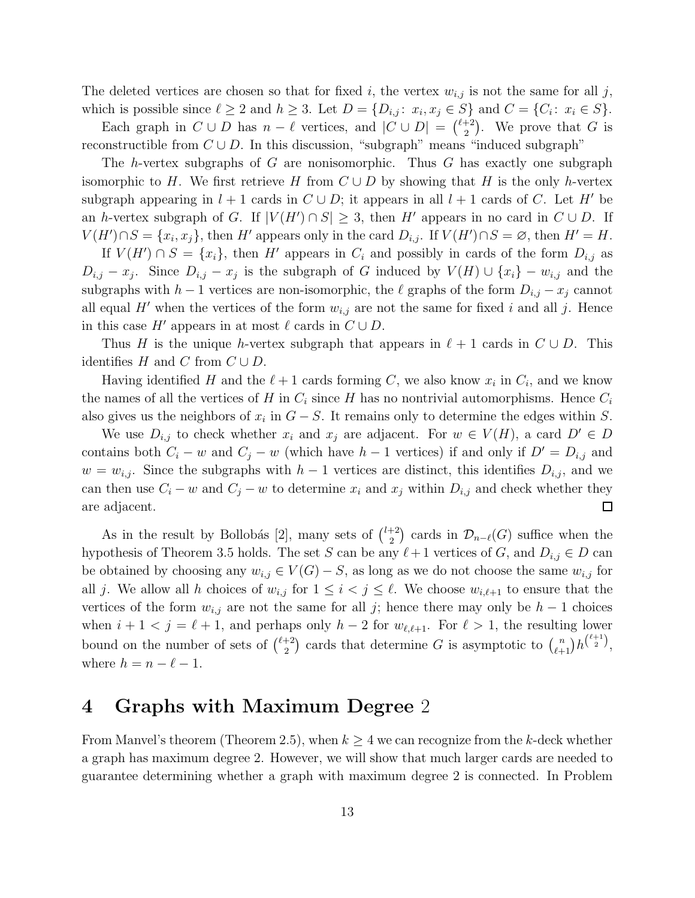The deleted vertices are chosen so that for fixed i, the vertex  $w_{i,j}$  is not the same for all j, which is possible since  $\ell \geq 2$  and  $h \geq 3$ . Let  $D = \{D_{i,j} : x_i, x_j \in S\}$  and  $C = \{C_i : x_i \in S\}$ .

Each graph in  $C \cup D$  has  $n - \ell$  vertices, and  $|C \cup D| = {\ell+2 \choose 2}$  $\binom{+2}{2}$ . We prove that G is reconstructible from  $C \cup D$ . In this discussion, "subgraph" means "induced subgraph"

The h-vertex subgraphs of G are nonisomorphic. Thus G has exactly one subgraph isomorphic to H. We first retrieve H from  $C \cup D$  by showing that H is the only h-vertex subgraph appearing in  $l + 1$  cards in  $C \cup D$ ; it appears in all  $l + 1$  cards of C. Let H' be an h-vertex subgraph of G. If  $|V(H') \cap S| \geq 3$ , then H' appears in no card in  $C \cup D$ . If  $V(H') \cap S = \{x_i, x_j\}$ , then H' appears only in the card  $D_{i,j}$ . If  $V(H') \cap S = \emptyset$ , then  $H' = H$ .

If  $V(H') \cap S = \{x_i\}$ , then H' appears in  $C_i$  and possibly in cards of the form  $D_{i,j}$  as  $D_{i,j} - x_j$ . Since  $D_{i,j} - x_j$  is the subgraph of G induced by  $V(H) \cup \{x_i\} - w_{i,j}$  and the subgraphs with  $h-1$  vertices are non-isomorphic, the  $\ell$  graphs of the form  $D_{i,j} - x_j$  cannot all equal H' when the vertices of the form  $w_{i,j}$  are not the same for fixed i and all j. Hence in this case  $H'$  appears in at most  $\ell$  cards in  $C \cup D$ .

Thus H is the unique h-vertex subgraph that appears in  $\ell + 1$  cards in  $C \cup D$ . This identifies H and C from  $C \cup D$ .

Having identified H and the  $\ell+1$  cards forming C, we also know  $x_i$  in  $C_i$ , and we know the names of all the vertices of H in  $C_i$  since H has no nontrivial automorphisms. Hence  $C_i$ also gives us the neighbors of  $x_i$  in  $G-S$ . It remains only to determine the edges within S.

We use  $D_{i,j}$  to check whether  $x_i$  and  $x_j$  are adjacent. For  $w \in V(H)$ , a card  $D' \in D$ contains both  $C_i - w$  and  $C_j - w$  (which have  $h - 1$  vertices) if and only if  $D' = D_{i,j}$  and  $w = w_{i,j}$ . Since the subgraphs with  $h-1$  vertices are distinct, this identifies  $D_{i,j}$ , and we can then use  $C_i - w$  and  $C_j - w$  to determine  $x_i$  and  $x_j$  within  $D_{i,j}$  and check whether they  $\Box$ are adjacent.

As in the result by Bollobás [2], many sets of  $\binom{l+2}{2}$  $\binom{+2}{2}$  cards in  $\mathcal{D}_{n-\ell}(G)$  suffice when the hypothesis of Theorem 3.5 holds. The set S can be any  $\ell+1$  vertices of G, and  $D_{i,j} \in D$  can be obtained by choosing any  $w_{i,j} \in V(G) - S$ , as long as we do not choose the same  $w_{i,j}$  for all j. We allow all h choices of  $w_{i,j}$  for  $1 \leq i < j \leq \ell$ . We choose  $w_{i,\ell+1}$  to ensure that the vertices of the form  $w_{i,j}$  are not the same for all j; hence there may only be  $h-1$  choices when  $i + 1 < j = \ell + 1$ , and perhaps only  $h - 2$  for  $w_{\ell, \ell+1}$ . For  $\ell > 1$ , the resulting lower bound on the number of sets of  $\binom{\ell+2}{2}$  $\binom{+2}{2}$  cards that determine G is asymptotic to  $\binom{n}{\ell+1} h^{\binom{\ell+1}{2}},$ where  $h = n - \ell - 1$ .

### 4 Graphs with Maximum Degree 2

From Manvel's theorem (Theorem 2.5), when  $k \geq 4$  we can recognize from the k-deck whether a graph has maximum degree 2. However, we will show that much larger cards are needed to guarantee determining whether a graph with maximum degree 2 is connected. In Problem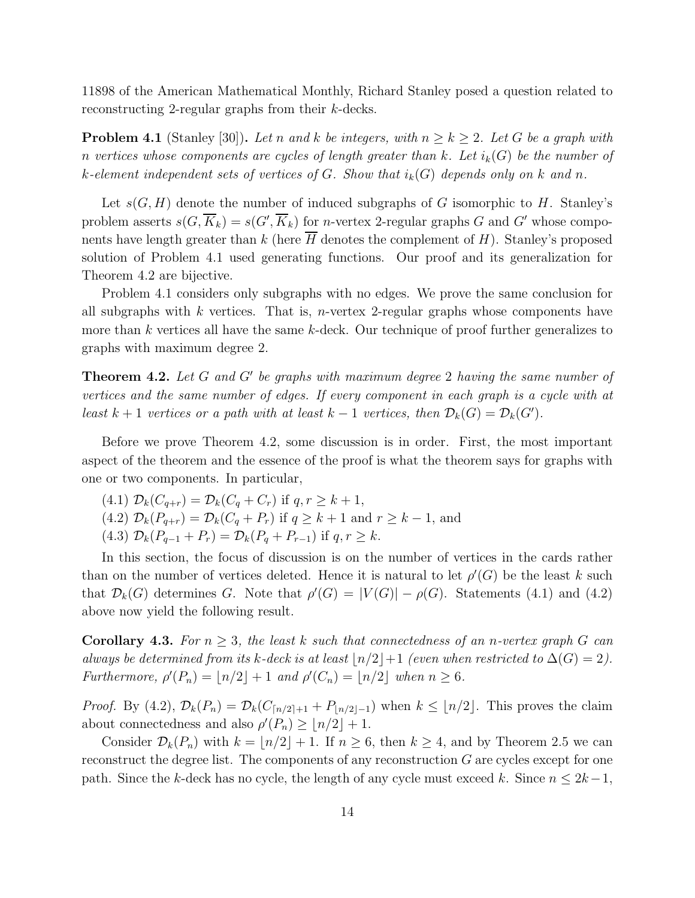11898 of the American Mathematical Monthly, Richard Stanley posed a question related to reconstructing 2-regular graphs from their k-decks.

**Problem 4.1** (Stanley [30]). Let n and k be integers, with  $n \geq k \geq 2$ . Let G be a graph with n vertices whose components are cycles of length greater than k. Let  $i_k(G)$  be the number of k-element independent sets of vertices of G. Show that  $i_k(G)$  depends only on k and n.

Let  $s(G, H)$  denote the number of induced subgraphs of G isomorphic to H. Stanley's problem asserts  $s(G, \overline{K}_k) = s(G', \overline{K}_k)$  for *n*-vertex 2-regular graphs G and G' whose components have length greater than k (here  $\overline{H}$  denotes the complement of H). Stanley's proposed solution of Problem 4.1 used generating functions. Our proof and its generalization for Theorem 4.2 are bijective.

Problem 4.1 considers only subgraphs with no edges. We prove the same conclusion for all subgraphs with k vertices. That is, n-vertex 2-regular graphs whose components have more than  $k$  vertices all have the same  $k$ -deck. Our technique of proof further generalizes to graphs with maximum degree 2.

**Theorem 4.2.** Let  $G$  and  $G'$  be graphs with maximum degree 2 having the same number of vertices and the same number of edges. If every component in each graph is a cycle with at least  $k + 1$  vertices or a path with at least  $k - 1$  vertices, then  $\mathcal{D}_k(G) = \mathcal{D}_k(G')$ .

Before we prove Theorem 4.2, some discussion is in order. First, the most important aspect of the theorem and the essence of the proof is what the theorem says for graphs with one or two components. In particular,

(4.1)  $\mathcal{D}_k(C_{q+r}) = \mathcal{D}_k(C_q + C_r)$  if  $q, r \geq k+1$ , (4.2)  $\mathcal{D}_k(P_{q+r}) = \mathcal{D}_k(C_q + P_r)$  if  $q \ge k+1$  and  $r \ge k-1$ , and (4.3)  $\mathcal{D}_k(P_{q-1} + P_r) = \mathcal{D}_k(P_q + P_{r-1})$  if  $q, r \geq k$ .

In this section, the focus of discussion is on the number of vertices in the cards rather than on the number of vertices deleted. Hence it is natural to let  $\rho'(G)$  be the least k such that  $\mathcal{D}_k(G)$  determines G. Note that  $\rho'(G) = |V(G)| - \rho(G)$ . Statements (4.1) and (4.2) above now yield the following result.

**Corollary 4.3.** For  $n \geq 3$ , the least k such that connectedness of an n-vertex graph G can always be determined from its k-deck is at least  $\lfloor n/2 \rfloor + 1$  (even when restricted to  $\Delta(G) = 2$ ). Furthermore,  $\rho'(P_n) = \lfloor n/2 \rfloor + 1$  and  $\rho'(C_n) = \lfloor n/2 \rfloor$  when  $n \ge 6$ .

*Proof.* By (4.2),  $\mathcal{D}_k(P_n) = \mathcal{D}_k(C_{\lceil n/2 \rceil+1} + P_{\lceil n/2 \rceil-1})$  when  $k \leq \lfloor n/2 \rfloor$ . This proves the claim about connectedness and also  $\rho'(P_n) \geq \lfloor n/2 \rfloor + 1$ .

Consider  $\mathcal{D}_k(P_n)$  with  $k = \lfloor n/2 \rfloor + 1$ . If  $n \geq 6$ , then  $k \geq 4$ , and by Theorem 2.5 we can reconstruct the degree list. The components of any reconstruction G are cycles except for one path. Since the k-deck has no cycle, the length of any cycle must exceed k. Since  $n \leq 2k-1$ ,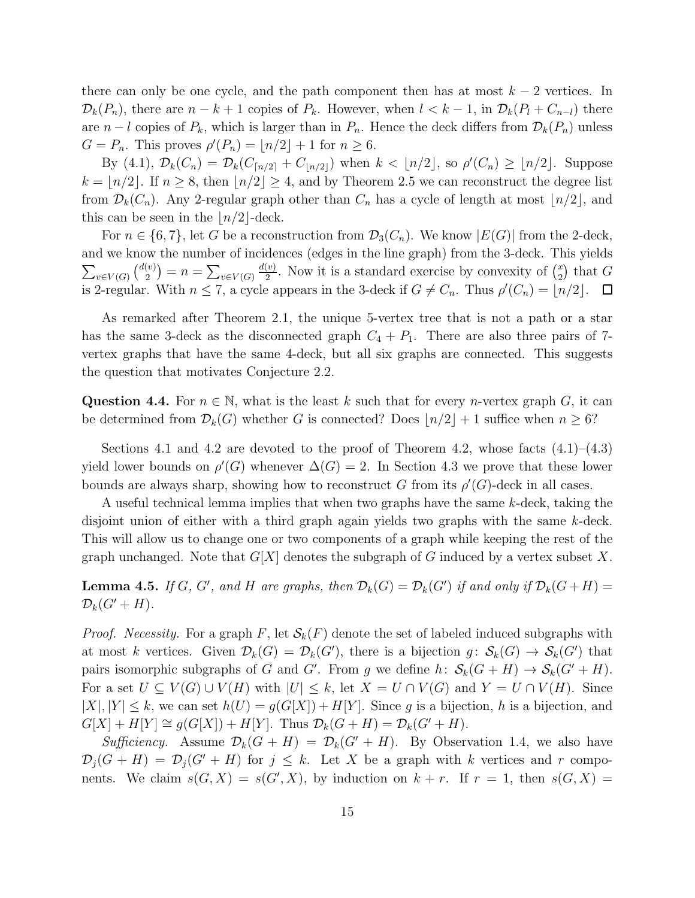there can only be one cycle, and the path component then has at most  $k - 2$  vertices. In  $\mathcal{D}_k(P_n)$ , there are  $n - k + 1$  copies of  $P_k$ . However, when  $l < k - 1$ , in  $\mathcal{D}_k(P_l + C_{n-l})$  there are  $n - l$  copies of  $P_k$ , which is larger than in  $P_n$ . Hence the deck differs from  $\mathcal{D}_k(P_n)$  unless  $G = P_n$ . This proves  $\rho'(P_n) = \lfloor n/2 \rfloor + 1$  for  $n \ge 6$ .

By (4.1),  $\mathcal{D}_k(C_n) = \mathcal{D}_k(C_{\lfloor n/2 \rfloor} + C_{\lfloor n/2 \rfloor})$  when  $k < \lfloor n/2 \rfloor$ , so  $\rho'(C_n) \geq \lfloor n/2 \rfloor$ . Suppose  $k = \lfloor n/2 \rfloor$ . If  $n \geq 8$ , then  $\lfloor n/2 \rfloor \geq 4$ , and by Theorem 2.5 we can reconstruct the degree list from  $\mathcal{D}_k(C_n)$ . Any 2-regular graph other than  $C_n$  has a cycle of length at most  $\lfloor n/2 \rfloor$ , and this can be seen in the  $\lfloor n/2 \rfloor$ -deck.

For  $n \in \{6, 7\}$ , let G be a reconstruction from  $\mathcal{D}_3(C_n)$ . We know  $|E(G)|$  from the 2-deck, and we know the number of incidences (edges in the line graph) from the 3-deck. This yields  $d(v)$  $\sum_{v\in V(G)}\binom{d(v)}{2}$  $\frac{v}{2}$ . Now it is a standard exercise by convexity of  $\binom{x}{2}$  $\binom{v}{2} = n = \sum_{v \in V(G)}$  $\binom{x}{2}$  that G is 2-regular. With  $n \leq 7$ , a cycle appears in the 3-deck if  $G \neq C_n$ . Thus  $\rho'(C_n) = \lfloor n/2 \rfloor$ .  $\Box$ 

As remarked after Theorem 2.1, the unique 5-vertex tree that is not a path or a star has the same 3-deck as the disconnected graph  $C_4 + P_1$ . There are also three pairs of 7vertex graphs that have the same 4-deck, but all six graphs are connected. This suggests the question that motivates Conjecture 2.2.

Question 4.4. For  $n \in \mathbb{N}$ , what is the least k such that for every n-vertex graph G, it can be determined from  $\mathcal{D}_k(G)$  whether G is connected? Does  $\lfloor n/2 \rfloor + 1$  suffice when  $n \geq 6$ ?

Sections 4.1 and 4.2 are devoted to the proof of Theorem 4.2, whose facts  $(4.1)$ – $(4.3)$ yield lower bounds on  $\rho'(G)$  whenever  $\Delta(G) = 2$ . In Section 4.3 we prove that these lower bounds are always sharp, showing how to reconstruct G from its  $\rho'(G)$ -deck in all cases.

A useful technical lemma implies that when two graphs have the same k-deck, taking the disjoint union of either with a third graph again yields two graphs with the same k-deck. This will allow us to change one or two components of a graph while keeping the rest of the graph unchanged. Note that  $G[X]$  denotes the subgraph of G induced by a vertex subset X.

**Lemma 4.5.** If G, G', and H are graphs, then  $\mathcal{D}_k(G) = \mathcal{D}_k(G')$  if and only if  $\mathcal{D}_k(G+H)$  $\mathcal{D}_k(G'+H).$ 

*Proof.* Necessity. For a graph F, let  $\mathcal{S}_k(F)$  denote the set of labeled induced subgraphs with at most k vertices. Given  $\mathcal{D}_k(G) = \mathcal{D}_k(G')$ , there is a bijection  $g: \mathcal{S}_k(G) \to \mathcal{S}_k(G')$  that pairs isomorphic subgraphs of G and G'. From g we define  $h: S_k(G+H) \to S_k(G'+H)$ . For a set  $U \subseteq V(G) \cup V(H)$  with  $|U| \leq k$ , let  $X = U \cap V(G)$  and  $Y = U \cap V(H)$ . Since  $|X|, |Y| \leq k$ , we can set  $h(U) = g(G[X]) + H[Y]$ . Since g is a bijection, h is a bijection, and  $G[X] + H[Y] \cong g(G[X]) + H[Y]$ . Thus  $\mathcal{D}_k(G+H) = \mathcal{D}_k(G'+H)$ .

Sufficiency. Assume  $\mathcal{D}_k(G + H) = \mathcal{D}_k(G' + H)$ . By Observation 1.4, we also have  $\mathcal{D}_j(G+H) = \mathcal{D}_j(G'+H)$  for  $j \leq k$ . Let X be a graph with k vertices and r components. We claim  $s(G, X) = s(G', X)$ , by induction on  $k + r$ . If  $r = 1$ , then  $s(G, X) =$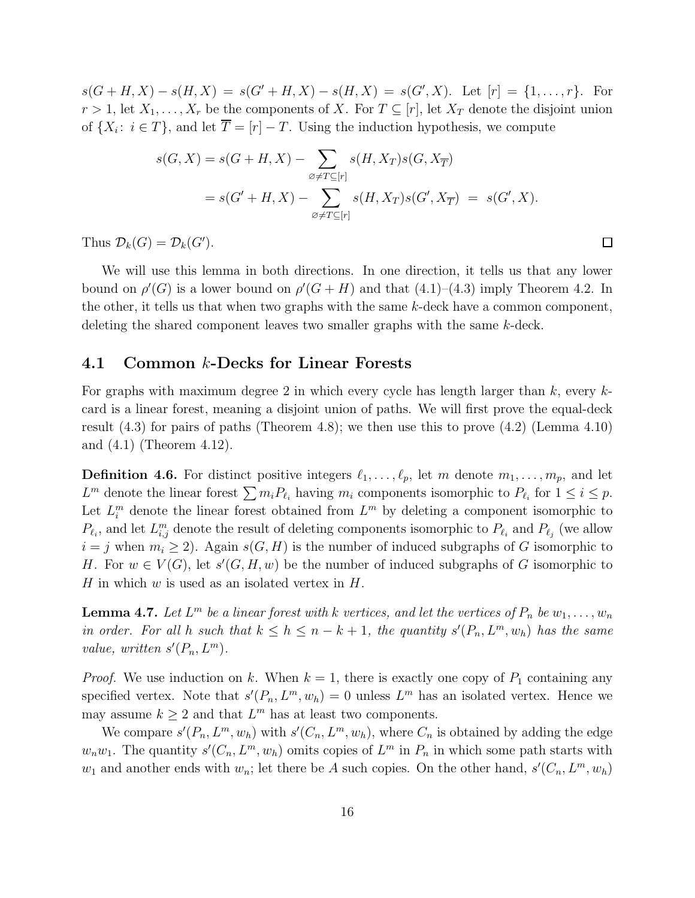$s(G+H, X) - s(H, X) = s(G'+H, X) - s(H, X) = s(G', X)$ . Let  $[r] = \{1, ..., r\}$ . For  $r > 1$ , let  $X_1, \ldots, X_r$  be the components of X. For  $T \subseteq [r]$ , let  $X_T$  denote the disjoint union of  $\{X_i: i \in T\}$ , and let  $T = [r] - T$ . Using the induction hypothesis, we compute

$$
s(G, X) = s(G + H, X) - \sum_{\emptyset \neq T \subseteq [r]} s(H, X_T) s(G, X_{\overline{T}})
$$
  
=  $s(G' + H, X) - \sum_{\emptyset \neq T \subseteq [r]} s(H, X_T) s(G', X_{\overline{T}}) = s(G', X).$ 

Thus  $\mathcal{D}_k(G) = \mathcal{D}_k(G')$ .

We will use this lemma in both directions. In one direction, it tells us that any lower bound on  $\rho'(G)$  is a lower bound on  $\rho'(G + H)$  and that  $(4.1)$ – $(4.3)$  imply Theorem 4.2. In the other, it tells us that when two graphs with the same k-deck have a common component, deleting the shared component leaves two smaller graphs with the same k-deck.

#### 4.1 Common k-Decks for Linear Forests

For graphs with maximum degree 2 in which every cycle has length larger than  $k$ , every  $k$ card is a linear forest, meaning a disjoint union of paths. We will first prove the equal-deck result (4.3) for pairs of paths (Theorem 4.8); we then use this to prove (4.2) (Lemma 4.10) and (4.1) (Theorem 4.12).

**Definition 4.6.** For distinct positive integers  $\ell_1, \ldots, \ell_p$ , let m denote  $m_1, \ldots, m_p$ , and let  $L^m$  denote the linear forest  $\sum m_i P_{\ell_i}$  having  $m_i$  components isomorphic to  $P_{\ell_i}$  for  $1 \leq i \leq p$ . Let  $L_i^m$  denote the linear forest obtained from  $L^m$  by deleting a component isomorphic to  $P_{\ell_i}$ , and let  $L_{i,j}^m$  denote the result of deleting components isomorphic to  $P_{\ell_i}$  and  $P_{\ell_j}$  (we allow  $i = j$  when  $m_i \geq 2$ ). Again  $s(G, H)$  is the number of induced subgraphs of G isomorphic to H. For  $w \in V(G)$ , let  $s'(G, H, w)$  be the number of induced subgraphs of G isomorphic to H in which  $w$  is used as an isolated vertex in  $H$ .

**Lemma 4.7.** Let  $L^m$  be a linear forest with k vertices, and let the vertices of  $P_n$  be  $w_1, \ldots, w_n$ in order. For all h such that  $k \leq h \leq n - k + 1$ , the quantity  $s'(P_n, L^m, w_h)$  has the same value, written  $s'(P_n, L^m)$ .

*Proof.* We use induction on k. When  $k = 1$ , there is exactly one copy of  $P_1$  containing any specified vertex. Note that  $s'(P_n, L^m, w_h) = 0$  unless  $L^m$  has an isolated vertex. Hence we may assume  $k \geq 2$  and that  $L^m$  has at least two components.

We compare  $s'(P_n, L^m, w_h)$  with  $s'(C_n, L^m, w_h)$ , where  $C_n$  is obtained by adding the edge  $w_n w_1$ . The quantity  $s'(C_n, L^m, w_h)$  omits copies of  $L^m$  in  $P_n$  in which some path starts with  $w_1$  and another ends with  $w_n$ ; let there be A such copies. On the other hand,  $s'(C_n, L^m, w_h)$ 

 $\Box$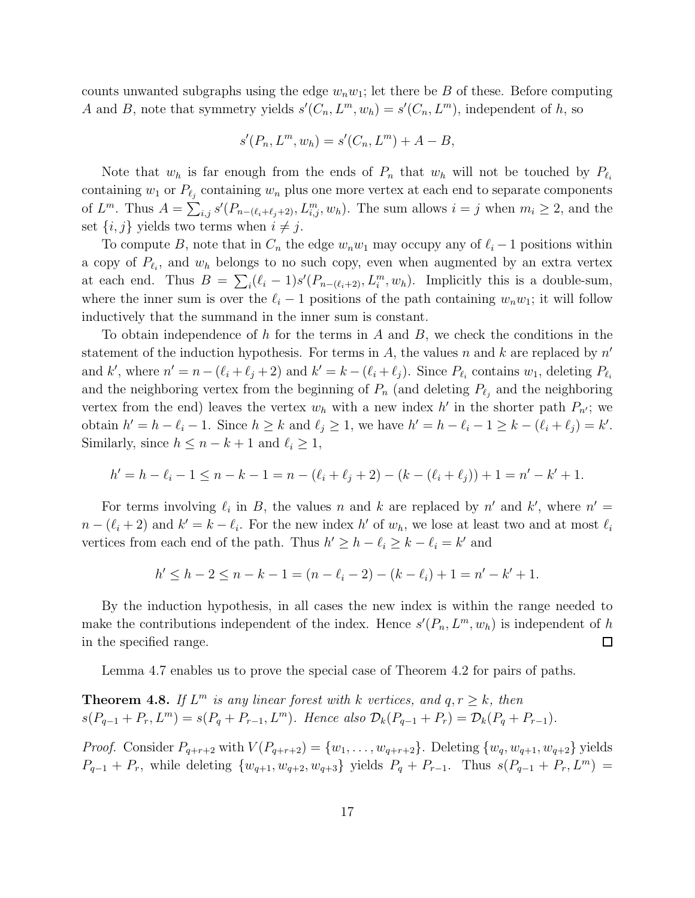counts unwanted subgraphs using the edge  $w_n w_1$ ; let there be B of these. Before computing A and B, note that symmetry yields  $s'(C_n, L^m, w_h) = s'(C_n, L^m)$ , independent of h, so

$$
s'(P_n, L^m, w_h) = s'(C_n, L^m) + A - B,
$$

Note that  $w_h$  is far enough from the ends of  $P_n$  that  $w_h$  will not be touched by  $P_{\ell_i}$ containing  $w_1$  or  $P_{\ell_j}$  containing  $w_n$  plus one more vertex at each end to separate components of  $L^m$ . Thus  $A = \sum_{i,j} s'(P_{n-(\ell_i+\ell_j+2)}, L^m_{i,j}, w_h)$ . The sum allows  $i = j$  when  $m_i \geq 2$ , and the set  $\{i, j\}$  yields two terms when  $i \neq j$ .

To compute B, note that in  $C_n$  the edge  $w_nw_1$  may occupy any of  $\ell_i-1$  positions within a copy of  $P_{\ell_i}$ , and  $w_h$  belongs to no such copy, even when augmented by an extra vertex at each end. Thus  $B = \sum_i (\ell_i - 1)s'(P_{n-(\ell_i+2)}, L_i^m, w_h)$ . Implicitly this is a double-sum, where the inner sum is over the  $\ell_i - 1$  positions of the path containing  $w_n w_1$ ; it will follow inductively that the summand in the inner sum is constant.

To obtain independence of h for the terms in A and  $B$ , we check the conditions in the statement of the induction hypothesis. For terms in A, the values n and k are replaced by  $n'$ and k', where  $n' = n - (\ell_i + \ell_j + 2)$  and  $k' = k - (\ell_i + \ell_j)$ . Since  $P_{\ell_i}$  contains  $w_1$ , deleting  $P_{\ell_i}$ and the neighboring vertex from the beginning of  $P_n$  (and deleting  $P_{\ell_j}$  and the neighboring vertex from the end) leaves the vertex  $w_h$  with a new index h' in the shorter path  $P_{n'}$ ; we obtain  $h' = h - \ell_i - 1$ . Since  $h \ge k$  and  $\ell_j \ge 1$ , we have  $h' = h - \ell_i - 1 \ge k - (\ell_i + \ell_j) = k'$ . Similarly, since  $h \leq n - k + 1$  and  $\ell_i \geq 1$ ,

$$
h' = h - \ell_i - 1 \le n - k - 1 = n - (\ell_i + \ell_j + 2) - (k - (\ell_i + \ell_j)) + 1 = n' - k' + 1.
$$

For terms involving  $\ell_i$  in B, the values n and k are replaced by n' and k', where  $n' =$  $n-(\ell_i+2)$  and  $k'=k-\ell_i$ . For the new index h' of  $w_h$ , we lose at least two and at most  $\ell_i$ vertices from each end of the path. Thus  $h' \geq h - \ell_i \geq k - \ell_i = k'$  and

$$
h' \le h - 2 \le n - k - 1 = (n - \ell_i - 2) - (k - \ell_i) + 1 = n' - k' + 1.
$$

By the induction hypothesis, in all cases the new index is within the range needed to make the contributions independent of the index. Hence  $s'(P_n, L^m, w_h)$  is independent of h in the specified range.  $\Box$ 

Lemma 4.7 enables us to prove the special case of Theorem 4.2 for pairs of paths.

**Theorem 4.8.** If  $L^m$  is any linear forest with k vertices, and  $q, r \geq k$ , then  $s(P_{q-1} + P_r, L^m) = s(P_q + P_{r-1}, L^m)$ . Hence also  $\mathcal{D}_k(P_{q-1} + P_r) = \mathcal{D}_k(P_q + P_{r-1})$ .

*Proof.* Consider  $P_{q+r+2}$  with  $V(P_{q+r+2}) = \{w_1, \ldots, w_{q+r+2}\}\.$  Deleting  $\{w_q, w_{q+1}, w_{q+2}\}\,$  yields  $P_{q-1} + P_r$ , while deleting  $\{w_{q+1}, w_{q+2}, w_{q+3}\}$  yields  $P_q + P_{r-1}$ . Thus  $s(P_{q-1} + P_r, L^m)$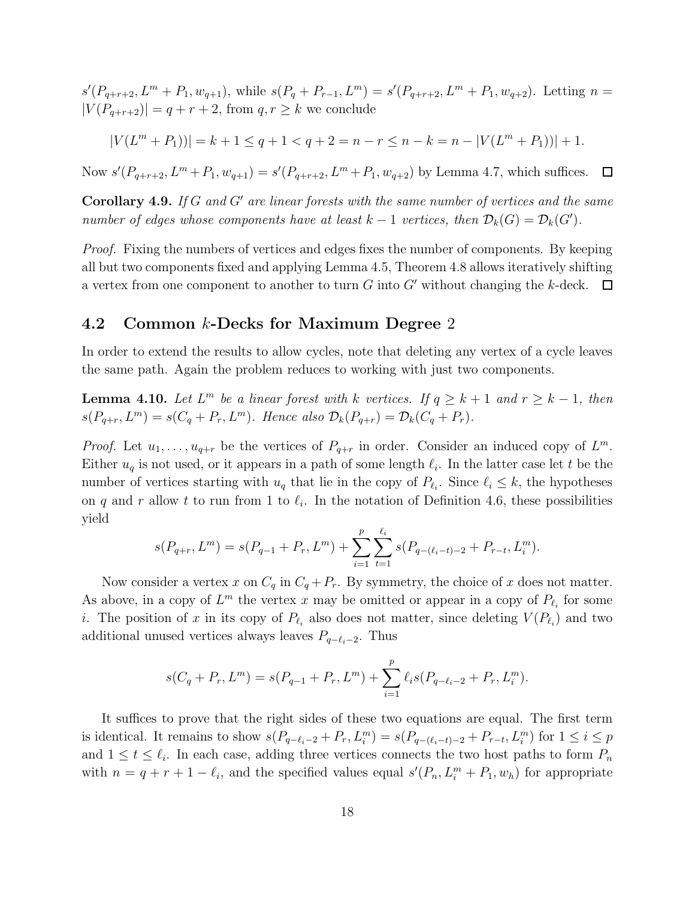$s'(P_{q+r+2}, L^m+P_1, w_{q+1}),$  while  $s(P_q+P_{r-1}, L^m)=s'(P_{q+r+2}, L^m+P_1, w_{q+2}).$  Letting  $n=$  $|V(P_{q+r+2})| = q + r + 2$ , from  $q, r \geq k$  we conclude

$$
|V(L^m + P_1))| = k + 1 \le q + 1 < q + 2 = n - r \le n - k = n - |V(L^m + P_1))| + 1.
$$

Now  $s'(P_{q+r+2}, L^m+P_1, w_{q+1}) = s'(P_{q+r+2}, L^m+P_1, w_{q+2})$  by Lemma 4.7, which suffices. 口

**Corollary 4.9.** If G and G' are linear forests with the same number of vertices and the same number of edges whose components have at least  $k-1$  vertices, then  $\mathcal{D}_k(G) = \mathcal{D}_k(G')$ .

Proof. Fixing the numbers of vertices and edges fixes the number of components. By keeping all but two components fixed and applying Lemma 4.5, Theorem 4.8 allows iteratively shifting a vertex from one component to another to turn  $G$  into  $G'$  without changing the k-deck.  $\Box$ 

### 4.2 Common k-Decks for Maximum Degree 2

In order to extend the results to allow cycles, note that deleting any vertex of a cycle leaves the same path. Again the problem reduces to working with just two components.

**Lemma 4.10.** Let  $L^m$  be a linear forest with k vertices. If  $q \geq k+1$  and  $r \geq k-1$ , then  $s(P_{q+r}, L^m) = s(C_q + P_r, L^m)$ . Hence also  $\mathcal{D}_k(P_{q+r}) = \mathcal{D}_k(C_q + P_r)$ .

*Proof.* Let  $u_1, \ldots, u_{q+r}$  be the vertices of  $P_{q+r}$  in order. Consider an induced copy of  $L^m$ . Either  $u_q$  is not used, or it appears in a path of some length  $\ell_i$ . In the latter case let t be the number of vertices starting with  $u_q$  that lie in the copy of  $P_{\ell_i}$ . Since  $\ell_i \leq k$ , the hypotheses on q and r allow t to run from 1 to  $\ell_i$ . In the notation of Definition 4.6, these possibilities yield

$$
s(P_{q+r}, L^m) = s(P_{q-1} + P_r, L^m) + \sum_{i=1}^p \sum_{t=1}^{\ell_i} s(P_{q-(\ell_i-t)-2} + P_{r-t}, L_i^m).
$$

Now consider a vertex x on  $C_q$  in  $C_q + P_r$ . By symmetry, the choice of x does not matter. As above, in a copy of  $L^m$  the vertex x may be omitted or appear in a copy of  $P_{\ell_i}$  for some *i*. The position of x in its copy of  $P_{\ell_i}$  also does not matter, since deleting  $V(P_{\ell_i})$  and two additional unused vertices always leaves  $P_{q-\ell_i-2}$ . Thus

$$
s(C_q + P_r, L^m) = s(P_{q-1} + P_r, L^m) + \sum_{i=1}^p \ell_i s(P_{q-\ell_i-2} + P_r, L_i^m).
$$

It suffices to prove that the right sides of these two equations are equal. The first term is identical. It remains to show  $s(P_{q-\ell_i-2}+P_r,L_i^m)=s(P_{q-(\ell_i-t)-2}+P_{r-t},L_i^m)$  for  $1\leq i\leq p$ and  $1 \leq t \leq \ell_i$ . In each case, adding three vertices connects the two host paths to form  $P_n$ with  $n = q + r + 1 - \ell_i$ , and the specified values equal  $s'(P_n, L_i^m + P_1, w_h)$  for appropriate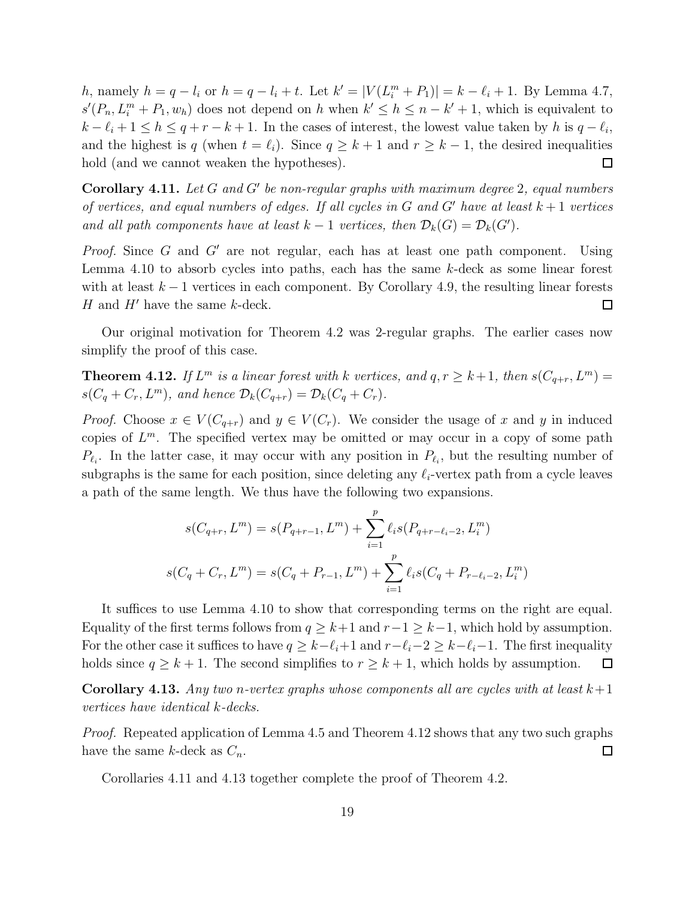h, namely  $h = q - l_i$  or  $h = q - l_i + t$ . Let  $k' = |V(L_i^m + P_1)| = k - l_i + 1$ . By Lemma 4.7,  $s'(P_n, L_i^m + P_1, w_h)$  does not depend on h when  $k' \leq h \leq n - k' + 1$ , which is equivalent to  $k - \ell_i + 1 \leq h \leq q + r - k + 1$ . In the cases of interest, the lowest value taken by h is  $q - \ell_i$ , and the highest is q (when  $t = \ell_i$ ). Since  $q \geq k+1$  and  $r \geq k-1$ , the desired inequalities hold (and we cannot weaken the hypotheses).  $\Box$ 

**Corollary 4.11.** Let  $G$  and  $G'$  be non-regular graphs with maximum degree 2, equal numbers of vertices, and equal numbers of edges. If all cycles in G and G' have at least  $k+1$  vertices and all path components have at least  $k-1$  vertices, then  $\mathcal{D}_k(G) = \mathcal{D}_k(G')$ .

*Proof.* Since G and G' are not regular, each has at least one path component. Using Lemma 4.10 to absorb cycles into paths, each has the same k-deck as some linear forest with at least  $k-1$  vertices in each component. By Corollary 4.9, the resulting linear forests H and  $H'$  have the same k-deck.  $\Box$ 

Our original motivation for Theorem 4.2 was 2-regular graphs. The earlier cases now simplify the proof of this case.

**Theorem 4.12.** If  $L^m$  is a linear forest with k vertices, and  $q, r \geq k+1$ , then  $s(C_{q+r}, L^m)$  $s(C_q + C_r, L^m)$ , and hence  $\mathcal{D}_k(C_{q+r}) = \mathcal{D}_k(C_q + C_r)$ .

*Proof.* Choose  $x \in V(C_{q+r})$  and  $y \in V(C_r)$ . We consider the usage of x and y in induced copies of  $L^m$ . The specified vertex may be omitted or may occur in a copy of some path  $P_{\ell_i}$ . In the latter case, it may occur with any position in  $P_{\ell_i}$ , but the resulting number of subgraphs is the same for each position, since deleting any  $\ell_i$ -vertex path from a cycle leaves a path of the same length. We thus have the following two expansions.

$$
s(C_{q+r}, L^m) = s(P_{q+r-1}, L^m) + \sum_{i=1}^p \ell_i s(P_{q+r-\ell_i-2}, L_i^m)
$$
  

$$
s(C_q + C_r, L^m) = s(C_q + P_{r-1}, L^m) + \sum_{i=1}^p \ell_i s(C_q + P_{r-\ell_i-2}, L_i^m)
$$

It suffices to use Lemma 4.10 to show that corresponding terms on the right are equal. Equality of the first terms follows from  $q \geq k+1$  and  $r-1 \geq k-1$ , which hold by assumption. For the other case it suffices to have  $q \geq k-\ell_i+1$  and  $r-\ell_i-2 \geq k-\ell_i-1$ . The first inequality holds since  $q \geq k+1$ . The second simplifies to  $r \geq k+1$ , which holds by assumption.  $\Box$ 

**Corollary 4.13.** Any two n-vertex graphs whose components all are cycles with at least  $k+1$ vertices have identical k-decks.

Proof. Repeated application of Lemma 4.5 and Theorem 4.12 shows that any two such graphs have the same k-deck as  $C_n$ .  $\Box$ 

Corollaries 4.11 and 4.13 together complete the proof of Theorem 4.2.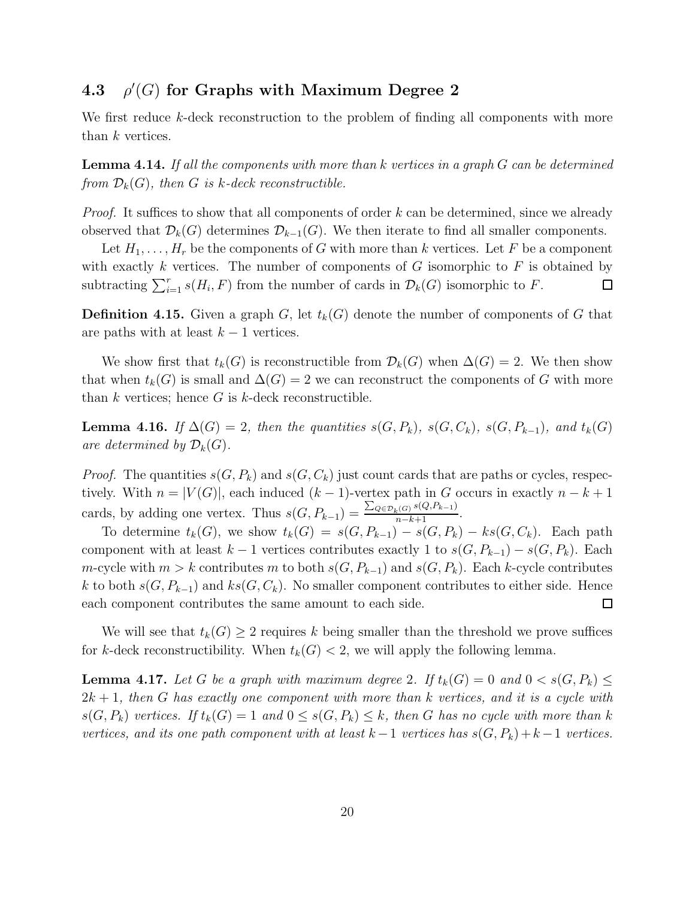#### 4.3 ρ  $\mathcal{O}'(G)$  for Graphs with Maximum Degree 2

We first reduce k-deck reconstruction to the problem of finding all components with more than k vertices.

**Lemma 4.14.** If all the components with more than  $k$  vertices in a graph  $G$  can be determined from  $\mathcal{D}_k(G)$ , then G is k-deck reconstructible.

*Proof.* It suffices to show that all components of order  $k$  can be determined, since we already observed that  $\mathcal{D}_k(G)$  determines  $\mathcal{D}_{k-1}(G)$ . We then iterate to find all smaller components.

Let  $H_1, \ldots, H_r$  be the components of G with more than k vertices. Let F be a component with exactly k vertices. The number of components of  $G$  isomorphic to  $F$  is obtained by subtracting  $\sum_{i=1}^r s(H_i, F)$  from the number of cards in  $\mathcal{D}_k(G)$  isomorphic to F.  $\Box$ 

**Definition 4.15.** Given a graph G, let  $t_k(G)$  denote the number of components of G that are paths with at least  $k - 1$  vertices.

We show first that  $t_k(G)$  is reconstructible from  $\mathcal{D}_k(G)$  when  $\Delta(G) = 2$ . We then show that when  $t_k(G)$  is small and  $\Delta(G) = 2$  we can reconstruct the components of G with more than  $k$  vertices; hence  $G$  is  $k$ -deck reconstructible.

**Lemma 4.16.** If  $\Delta(G) = 2$ , then the quantities  $s(G, P_k)$ ,  $s(G, C_k)$ ,  $s(G, P_{k-1})$ , and  $t_k(G)$ are determined by  $\mathcal{D}_k(G)$ .

*Proof.* The quantities  $s(G, P_k)$  and  $s(G, C_k)$  just count cards that are paths or cycles, respectively. With  $n = |V(G)|$ , each induced  $(k-1)$ -vertex path in G occurs in exactly  $n - k + 1$ cards, by adding one vertex. Thus  $s(G, P_{k-1}) = \frac{\sum_{Q \in \mathcal{D}_k(G)} s(Q, P_{k-1})}{n-k+1}$ .

To determine  $t_k(G)$ , we show  $t_k(G) = s(G, P_{k-1}) - s(G, P_k) - ks(G, C_k)$ . Each path component with at least  $k-1$  vertices contributes exactly 1 to  $s(G, P_{k-1}) - s(G, P_k)$ . Each m-cycle with  $m > k$  contributes m to both  $s(G, P_{k-1})$  and  $s(G, P_k)$ . Each k-cycle contributes k to both  $s(G, P_{k-1})$  and  $ks(G, C_k)$ . No smaller component contributes to either side. Hence each component contributes the same amount to each side.  $\Box$ 

We will see that  $t_k(G) \geq 2$  requires k being smaller than the threshold we prove suffices for k-deck reconstructibility. When  $t_k(G) < 2$ , we will apply the following lemma.

**Lemma 4.17.** Let G be a graph with maximum degree 2. If  $t_k(G) = 0$  and  $0 < s(G, P_k) \le$  $2k + 1$ , then G has exactly one component with more than k vertices, and it is a cycle with  $s(G, P_k)$  vertices. If  $t_k(G) = 1$  and  $0 \leq s(G, P_k) \leq k$ , then G has no cycle with more than k vertices, and its one path component with at least  $k-1$  vertices has  $s(G, P_k) + k - 1$  vertices.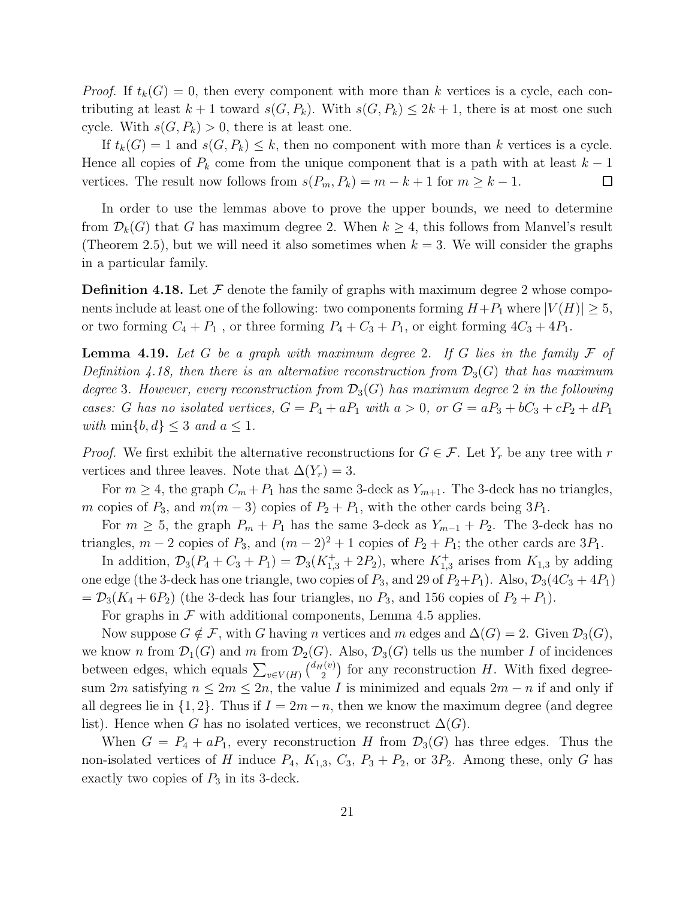*Proof.* If  $t_k(G) = 0$ , then every component with more than k vertices is a cycle, each contributing at least  $k + 1$  toward  $s(G, P_k)$ . With  $s(G, P_k) \leq 2k + 1$ , there is at most one such cycle. With  $s(G, P_k) > 0$ , there is at least one.

If  $t_k(G) = 1$  and  $s(G, P_k) \leq k$ , then no component with more than k vertices is a cycle. Hence all copies of  $P_k$  come from the unique component that is a path with at least  $k-1$ vertices. The result now follows from  $s(P_m, P_k) = m - k + 1$  for  $m \geq k - 1$ .  $\Box$ 

In order to use the lemmas above to prove the upper bounds, we need to determine from  $\mathcal{D}_k(G)$  that G has maximum degree 2. When  $k \geq 4$ , this follows from Manvel's result (Theorem 2.5), but we will need it also sometimes when  $k = 3$ . We will consider the graphs in a particular family.

**Definition 4.18.** Let  $\mathcal F$  denote the family of graphs with maximum degree 2 whose components include at least one of the following: two components forming  $H+P_1$  where  $|V(H)| \geq 5$ , or two forming  $C_4 + P_1$ , or three forming  $P_4 + C_3 + P_1$ , or eight forming  $4C_3 + 4P_1$ .

**Lemma 4.19.** Let G be a graph with maximum degree 2. If G lies in the family  $\mathcal F$  of Definition 4.18, then there is an alternative reconstruction from  $\mathcal{D}_3(G)$  that has maximum degree 3. However, every reconstruction from  $\mathcal{D}_3(G)$  has maximum degree 2 in the following cases: G has no isolated vertices,  $G = P_4 + aP_1$  with  $a > 0$ , or  $G = aP_3 + bC_3 + cP_2 + dP_1$ with  $\min\{b, d\} \leq 3$  and  $a \leq 1$ .

*Proof.* We first exhibit the alternative reconstructions for  $G \in \mathcal{F}$ . Let  $Y_r$  be any tree with r vertices and three leaves. Note that  $\Delta(Y_r) = 3$ .

For  $m \geq 4$ , the graph  $C_m + P_1$  has the same 3-deck as  $Y_{m+1}$ . The 3-deck has no triangles, m copies of  $P_3$ , and  $m(m-3)$  copies of  $P_2 + P_1$ , with the other cards being  $3P_1$ .

For  $m \geq 5$ , the graph  $P_m + P_1$  has the same 3-deck as  $Y_{m-1} + P_2$ . The 3-deck has no triangles,  $m-2$  copies of  $P_3$ , and  $(m-2)^2+1$  copies of  $P_2+P_1$ ; the other cards are  $3P_1$ .

In addition,  $\mathcal{D}_3(P_4 + C_3 + P_1) = \mathcal{D}_3(K_{1,3}^+ + 2P_2)$ , where  $K_{1,3}^+$  arises from  $K_{1,3}$  by adding one edge (the 3-deck has one triangle, two copies of  $P_3$ , and 29 of  $P_2+P_1$ ). Also,  $\mathcal{D}_3(4C_3 + 4P_1)$  $= \mathcal{D}_3(K_4 + 6P_2)$  (the 3-deck has four triangles, no  $P_3$ , and 156 copies of  $P_2 + P_1$ ).

For graphs in  $\mathcal F$  with additional components, Lemma 4.5 applies.

Now suppose  $G \notin \mathcal{F}$ , with G having n vertices and m edges and  $\Delta(G) = 2$ . Given  $\mathcal{D}_3(G)$ , we know n from  $\mathcal{D}_1(G)$  and m from  $\mathcal{D}_2(G)$ . Also,  $\mathcal{D}_3(G)$  tells us the number I of incidences between edges, which equals  $\sum_{v \in V(H)} \binom{d_H(v)}{2}$  $I_2^{(v)}$  for any reconstruction H. With fixed degreesum 2m satisfying  $n \leq 2m \leq 2n$ , the value I is minimized and equals  $2m - n$  if and only if all degrees lie in  $\{1, 2\}$ . Thus if  $I = 2m-n$ , then we know the maximum degree (and degree list). Hence when G has no isolated vertices, we reconstruct  $\Delta(G)$ .

When  $G = P_4 + aP_1$ , every reconstruction H from  $\mathcal{D}_3(G)$  has three edges. Thus the non-isolated vertices of H induce  $P_4$ ,  $K_{1,3}$ ,  $C_3$ ,  $P_3 + P_2$ , or  $3P_2$ . Among these, only G has exactly two copies of  $P_3$  in its 3-deck.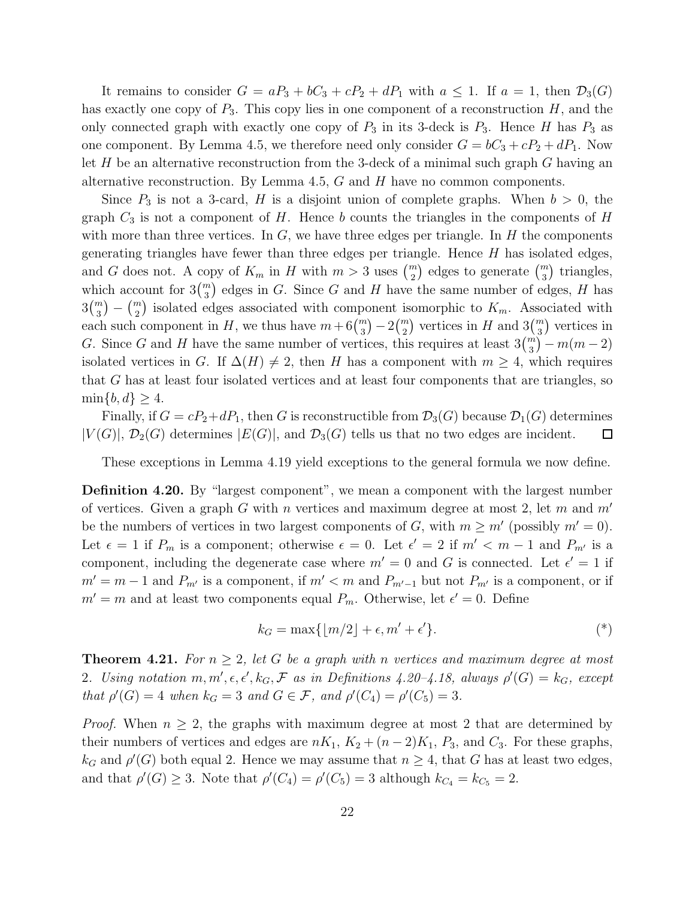It remains to consider  $G = aP_3 + bC_3 + cP_2 + dP_1$  with  $a \leq 1$ . If  $a = 1$ , then  $\mathcal{D}_3(G)$ has exactly one copy of  $P_3$ . This copy lies in one component of a reconstruction H, and the only connected graph with exactly one copy of  $P_3$  in its 3-deck is  $P_3$ . Hence H has  $P_3$  as one component. By Lemma 4.5, we therefore need only consider  $G = bC_3 + cP_2 + dP_1$ . Now let  $H$  be an alternative reconstruction from the 3-deck of a minimal such graph  $G$  having an alternative reconstruction. By Lemma 4.5,  $G$  and  $H$  have no common components.

Since  $P_3$  is not a 3-card, H is a disjoint union of complete graphs. When  $b > 0$ , the graph  $C_3$  is not a component of H. Hence b counts the triangles in the components of H with more than three vertices. In  $G$ , we have three edges per triangle. In  $H$  the components generating triangles have fewer than three edges per triangle. Hence  $H$  has isolated edges, and G does not. A copy of  $K_m$  in H with  $m > 3$  uses  $\binom{m}{2}$  edges to generate  $\binom{m}{3}$  triangles, which account for  $3\binom{m}{3}$  edges in G. Since G and H have the same number of edges, H has  $3\binom{m}{3} - \binom{m}{2}$  isolated edges associated with component isomorphic to  $K_m$ . Associated with each such component in H, we thus have  $m + 6\binom{m}{3} - 2\binom{m}{2}$  vertices in H and  $3\binom{m}{3}$  vertices in G. Since G and H have the same number of vertices, this requires at least  $3\binom{m}{3} - m(m-2)$ isolated vertices in G. If  $\Delta(H) \neq 2$ , then H has a component with  $m \geq 4$ , which requires that G has at least four isolated vertices and at least four components that are triangles, so  $\min\{b, d\} \geq 4.$ 

Finally, if  $G = cP_2 + dP_1$ , then G is reconstructible from  $\mathcal{D}_3(G)$  because  $\mathcal{D}_1(G)$  determines  $|V(G)|$ ,  $\mathcal{D}_2(G)$  determines  $|E(G)|$ , and  $\mathcal{D}_3(G)$  tells us that no two edges are incident.  $\Box$ 

These exceptions in Lemma 4.19 yield exceptions to the general formula we now define.

Definition 4.20. By "largest component", we mean a component with the largest number of vertices. Given a graph G with n vertices and maximum degree at most 2, let m and  $m'$ be the numbers of vertices in two largest components of G, with  $m \geq m'$  (possibly  $m' = 0$ ). Let  $\epsilon = 1$  if  $P_m$  is a component; otherwise  $\epsilon = 0$ . Let  $\epsilon' = 2$  if  $m' < m - 1$  and  $P_{m'}$  is a component, including the degenerate case where  $m' = 0$  and G is connected. Let  $\epsilon' = 1$  if  $m' = m - 1$  and  $P_{m'}$  is a component, if  $m' < m$  and  $P_{m'-1}$  but not  $P_{m'}$  is a component, or if  $m' = m$  and at least two components equal  $P_m$ . Otherwise, let  $\epsilon' = 0$ . Define

$$
k_G = \max\{|m/2| + \epsilon, m' + \epsilon'\}.
$$
<sup>(\*)</sup>

**Theorem 4.21.** For  $n \geq 2$ , let G be a graph with n vertices and maximum degree at most 2. Using notation  $m, m', \epsilon, \epsilon', k_G, \mathcal{F}$  as in Definitions 4.20-4.18, always  $\rho'(G) = k_G$ , except that  $\rho'(G) = 4$  when  $k_G = 3$  and  $G \in \mathcal{F}$ , and  $\rho'(C_4) = \rho'(C_5) = 3$ .

*Proof.* When  $n \geq 2$ , the graphs with maximum degree at most 2 that are determined by their numbers of vertices and edges are  $nK_1$ ,  $K_2 + (n-2)K_1$ ,  $P_3$ , and  $C_3$ . For these graphs,  $k_G$  and  $\rho'(G)$  both equal 2. Hence we may assume that  $n \geq 4$ , that G has at least two edges, and that  $\rho'(G) \geq 3$ . Note that  $\rho'(C_4) = \rho'(C_5) = 3$  although  $k_{C_4} = k_{C_5} = 2$ .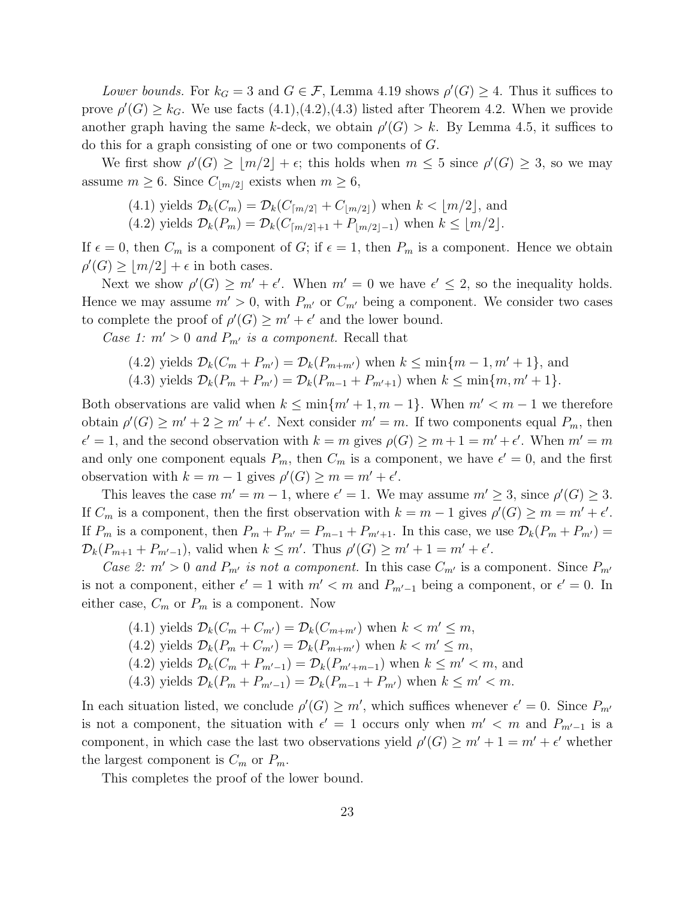Lower bounds. For  $k_G = 3$  and  $G \in \mathcal{F}$ , Lemma 4.19 shows  $\rho'(G) \geq 4$ . Thus it suffices to prove  $\rho'(G) \geq k_G$ . We use facts  $(4.1), (4.2), (4.3)$  listed after Theorem 4.2. When we provide another graph having the same k-deck, we obtain  $\rho'(G) > k$ . By Lemma 4.5, it suffices to do this for a graph consisting of one or two components of G.

We first show  $\rho'(G) \geq \lfloor m/2 \rfloor + \epsilon$ ; this holds when  $m \leq 5$  since  $\rho'(G) \geq 3$ , so we may assume  $m \geq 6$ . Since  $C_{\lfloor m/2 \rfloor}$  exists when  $m \geq 6$ ,

(4.1) yields 
$$
\mathcal{D}_k(C_m) = \mathcal{D}_k(C_{\lceil m/2 \rceil} + C_{\lfloor m/2 \rfloor})
$$
 when  $k < \lfloor m/2 \rfloor$ , and

(4.2) yields  $\mathcal{D}_k(P_m) = \mathcal{D}_k(C_{\lceil m/2 \rceil + 1} + P_{\lceil m/2 \rceil - 1})$  when  $k \leq \lfloor m/2 \rfloor$ .

If  $\epsilon = 0$ , then  $C_m$  is a component of G; if  $\epsilon = 1$ , then  $P_m$  is a component. Hence we obtain  $\rho'(G) \geq \lfloor m/2 \rfloor + \epsilon$  in both cases.

Next we show  $\rho'(G) \geq m' + \epsilon'$ . When  $m' = 0$  we have  $\epsilon' \leq 2$ , so the inequality holds. Hence we may assume  $m' > 0$ , with  $P_{m'}$  or  $C_{m'}$  being a component. We consider two cases to complete the proof of  $\rho'(G) \geq m' + \epsilon'$  and the lower bound.

Case 1:  $m' > 0$  and  $P_{m'}$  is a component. Recall that

(4.2) yields 
$$
\mathcal{D}_k(C_m + P_{m'}) = \mathcal{D}_k(P_{m+m'})
$$
 when  $k \le \min\{m-1, m'+1\}$ , and  
(4.3) yields  $\mathcal{D}_k(P_m + P_{m'}) = \mathcal{D}_k(P_{m-1} + P_{m'+1})$  when  $k \le \min\{m, m'+1\}$ .

Both observations are valid when  $k \leq \min\{m'+1, m-1\}$ . When  $m' < m-1$  we therefore obtain  $\rho'(G) \ge m' + 2 \ge m' + \epsilon'$ . Next consider  $m' = m$ . If two components equal  $P_m$ , then  $\epsilon' = 1$ , and the second observation with  $k = m$  gives  $\rho(G) \ge m + 1 = m' + \epsilon'$ . When  $m' = m$ and only one component equals  $P_m$ , then  $C_m$  is a component, we have  $\epsilon' = 0$ , and the first observation with  $k = m - 1$  gives  $\rho'(G) \ge m = m' + \epsilon'$ .

This leaves the case  $m' = m - 1$ , where  $\epsilon' = 1$ . We may assume  $m' \geq 3$ , since  $\rho'(G) \geq 3$ . If  $C_m$  is a component, then the first observation with  $k = m - 1$  gives  $\rho'(G) \ge m = m' + \epsilon'$ . If  $P_m$  is a component, then  $P_m + P_{m'} = P_{m-1} + P_{m'+1}$ . In this case, we use  $\mathcal{D}_k(P_m + P_{m'}) =$  $\mathcal{D}_k(P_{m+1}+P_{m'-1}),$  valid when  $k \leq m'$ . Thus  $\rho'(G) \geq m'+1 = m'+\epsilon'$ .

Case 2:  $m' > 0$  and  $P_{m'}$  is not a component. In this case  $C_{m'}$  is a component. Since  $P_{m'}$ is not a component, either  $\epsilon' = 1$  with  $m' < m$  and  $P_{m'-1}$  being a component, or  $\epsilon' = 0$ . In either case,  $C_m$  or  $P_m$  is a component. Now

(4.1) yields  $\mathcal{D}_k(C_m + C_{m'}) = \mathcal{D}_k(C_{m+m'})$  when  $k < m' \leq m$ , (4.2) yields  $\mathcal{D}_k(P_m + C_{m'}) = \mathcal{D}_k(P_{m+m'})$  when  $k < m' \leq m$ , (4.2) yields  $\mathcal{D}_k(C_m + P_{m'-1}) = \mathcal{D}_k(P_{m'+m-1})$  when  $k \leq m' < m$ , and (4.3) yields  $\mathcal{D}_k(P_m + P_{m'-1}) = \mathcal{D}_k(P_{m-1} + P_{m'})$  when  $k \leq m' < m$ .

In each situation listed, we conclude  $\rho'(G) \geq m'$ , which suffices whenever  $\epsilon' = 0$ . Since  $P_{m'}$ is not a component, the situation with  $\epsilon' = 1$  occurs only when  $m' < m$  and  $P_{m'-1}$  is a component, in which case the last two observations yield  $\rho'(G) \geq m' + 1 = m' + \epsilon'$  whether the largest component is  $C_m$  or  $P_m$ .

This completes the proof of the lower bound.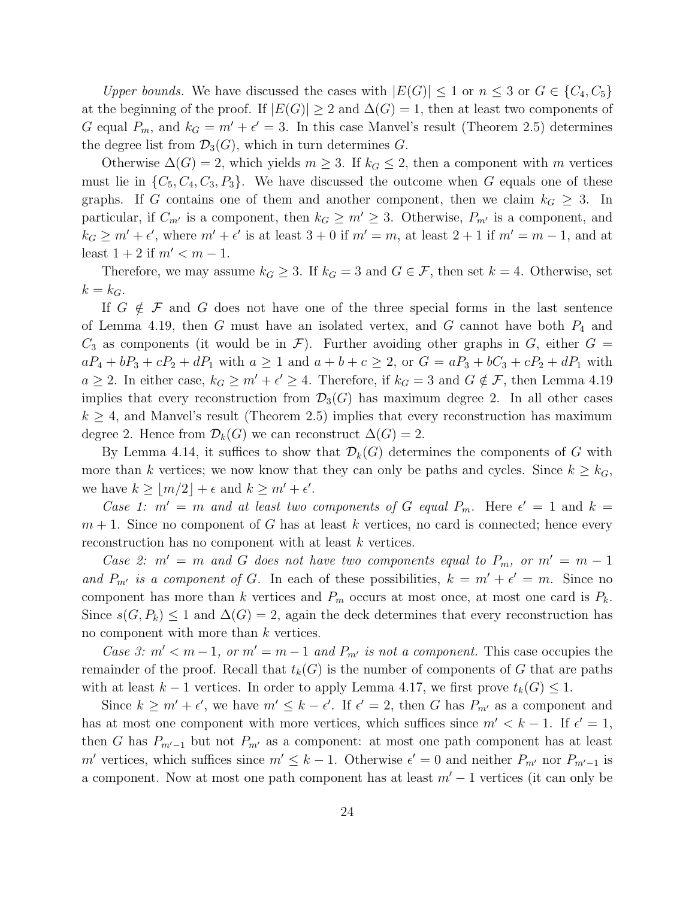Upper bounds. We have discussed the cases with  $|E(G)| \leq 1$  or  $n \leq 3$  or  $G \in \{C_4, C_5\}$ at the beginning of the proof. If  $|E(G)| \geq 2$  and  $\Delta(G) = 1$ , then at least two components of G equal  $P_m$ , and  $k_G = m' + \epsilon' = 3$ . In this case Manvel's result (Theorem 2.5) determines the degree list from  $\mathcal{D}_3(G)$ , which in turn determines G.

Otherwise  $\Delta(G) = 2$ , which yields  $m \geq 3$ . If  $k_G \leq 2$ , then a component with m vertices must lie in  $\{C_5, C_4, C_3, P_3\}$ . We have discussed the outcome when G equals one of these graphs. If G contains one of them and another component, then we claim  $k_G \geq 3$ . In particular, if  $C_{m'}$  is a component, then  $k_G \geq m' \geq 3$ . Otherwise,  $P_{m'}$  is a component, and  $k_G \geq m' + \epsilon'$ , where  $m' + \epsilon'$  is at least  $3 + 0$  if  $m' = m$ , at least  $2 + 1$  if  $m' = m - 1$ , and at least  $1 + 2$  if  $m' < m - 1$ .

Therefore, we may assume  $k_G \geq 3$ . If  $k_G = 3$  and  $G \in \mathcal{F}$ , then set  $k = 4$ . Otherwise, set  $k = k_G$ .

If  $G \notin \mathcal{F}$  and G does not have one of the three special forms in the last sentence of Lemma 4.19, then G must have an isolated vertex, and G cannot have both  $P_4$  and  $C_3$  as components (it would be in F). Further avoiding other graphs in G, either  $G =$  $aP_4 + bP_3 + cP_2 + dP_1$  with  $a \ge 1$  and  $a + b + c \ge 2$ , or  $G = aP_3 + bC_3 + cP_2 + dP_1$  with  $a \geq 2$ . In either case,  $k_G \geq m' + \epsilon' \geq 4$ . Therefore, if  $k_G = 3$  and  $G \notin \mathcal{F}$ , then Lemma 4.19 implies that every reconstruction from  $\mathcal{D}_3(G)$  has maximum degree 2. In all other cases  $k \geq 4$ , and Manvel's result (Theorem 2.5) implies that every reconstruction has maximum degree 2. Hence from  $\mathcal{D}_k(G)$  we can reconstruct  $\Delta(G) = 2$ .

By Lemma 4.14, it suffices to show that  $\mathcal{D}_k(G)$  determines the components of G with more than k vertices; we now know that they can only be paths and cycles. Since  $k \geq k_G$ , we have  $k \geq \lfloor m/2 \rfloor + \epsilon$  and  $k \geq m' + \epsilon'$ .

Case 1:  $m' = m$  and at least two components of G equal  $P_m$ . Here  $\epsilon' = 1$  and  $k =$  $m + 1$ . Since no component of G has at least k vertices, no card is connected; hence every reconstruction has no component with at least k vertices.

Case 2:  $m' = m$  and G does not have two components equal to  $P_m$ , or  $m' = m - 1$ and  $P_{m'}$  is a component of G. In each of these possibilities,  $k = m' + \epsilon' = m$ . Since no component has more than k vertices and  $P_m$  occurs at most once, at most one card is  $P_k$ . Since  $s(G, P_k) \leq 1$  and  $\Delta(G) = 2$ , again the deck determines that every reconstruction has no component with more than k vertices.

Case 3:  $m' < m-1$ , or  $m' = m-1$  and  $P_{m'}$  is not a component. This case occupies the remainder of the proof. Recall that  $t_k(G)$  is the number of components of G that are paths with at least  $k-1$  vertices. In order to apply Lemma 4.17, we first prove  $t_k(G) \leq 1$ .

Since  $k \geq m' + \epsilon'$ , we have  $m' \leq k - \epsilon'$ . If  $\epsilon' = 2$ , then G has  $P_{m'}$  as a component and has at most one component with more vertices, which suffices since  $m' < k - 1$ . If  $\epsilon' = 1$ , then G has  $P_{m'-1}$  but not  $P_{m'}$  as a component: at most one path component has at least m' vertices, which suffices since  $m' \leq k-1$ . Otherwise  $\epsilon' = 0$  and neither  $P_{m'}$  nor  $P_{m'-1}$  is a component. Now at most one path component has at least  $m' - 1$  vertices (it can only be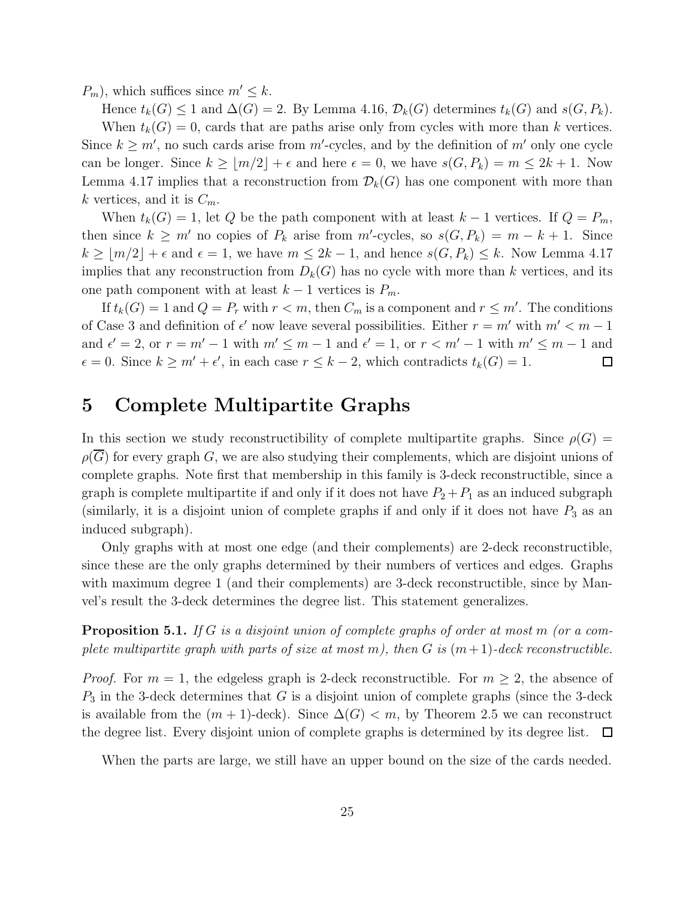$P_m$ , which suffices since  $m' \leq k$ .

Hence  $t_k(G) \leq 1$  and  $\Delta(G) = 2$ . By Lemma 4.16,  $\mathcal{D}_k(G)$  determines  $t_k(G)$  and  $s(G, P_k)$ . When  $t_k(G) = 0$ , cards that are paths arise only from cycles with more than k vertices. Since  $k \geq m'$ , no such cards arise from  $m'$ -cycles, and by the definition of  $m'$  only one cycle can be longer. Since  $k \ge |m/2| + \epsilon$  and here  $\epsilon = 0$ , we have  $s(G, P_k) = m \le 2k + 1$ . Now Lemma 4.17 implies that a reconstruction from  $\mathcal{D}_k(G)$  has one component with more than k vertices, and it is  $C_m$ .

When  $t_k(G) = 1$ , let Q be the path component with at least  $k-1$  vertices. If  $Q = P_m$ , then since  $k \geq m'$  no copies of  $P_k$  arise from m'-cycles, so  $s(G, P_k) = m - k + 1$ . Since  $k \geq \lfloor m/2 \rfloor + \epsilon$  and  $\epsilon = 1$ , we have  $m \leq 2k - 1$ , and hence  $s(G, P_k) \leq k$ . Now Lemma 4.17 implies that any reconstruction from  $D_k(G)$  has no cycle with more than k vertices, and its one path component with at least  $k - 1$  vertices is  $P_m$ .

If  $t_k(G) = 1$  and  $Q = P_r$  with  $r < m$ , then  $C_m$  is a component and  $r \leq m'$ . The conditions of Case 3 and definition of  $\epsilon'$  now leave several possibilities. Either  $r = m'$  with  $m' < m - 1$ and  $\epsilon' = 2$ , or  $r = m' - 1$  with  $m' \leq m - 1$  and  $\epsilon' = 1$ , or  $r < m' - 1$  with  $m' \leq m - 1$  and  $\epsilon = 0$ . Since  $k \ge m' + \epsilon'$ , in each case  $r \le k - 2$ , which contradicts  $t_k(G) = 1$ .  $\Box$ 

### 5 Complete Multipartite Graphs

In this section we study reconstructibility of complete multipartite graphs. Since  $\rho(G)$  =  $\rho(\overline{G})$  for every graph G, we are also studying their complements, which are disjoint unions of complete graphs. Note first that membership in this family is 3-deck reconstructible, since a graph is complete multipartite if and only if it does not have  $P_2 + P_1$  as an induced subgraph (similarly, it is a disjoint union of complete graphs if and only if it does not have  $P_3$  as an induced subgraph).

Only graphs with at most one edge (and their complements) are 2-deck reconstructible, since these are the only graphs determined by their numbers of vertices and edges. Graphs with maximum degree 1 (and their complements) are 3-deck reconstructible, since by Manvel's result the 3-deck determines the degree list. This statement generalizes.

**Proposition 5.1.** If G is a disjoint union of complete graphs of order at most m (or a complete multipartite graph with parts of size at most m), then G is  $(m+1)$ -deck reconstructible.

*Proof.* For  $m = 1$ , the edgeless graph is 2-deck reconstructible. For  $m \geq 2$ , the absence of  $P_3$  in the 3-deck determines that G is a disjoint union of complete graphs (since the 3-deck is available from the  $(m + 1)$ -deck). Since  $\Delta(G) < m$ , by Theorem 2.5 we can reconstruct the degree list. Every disjoint union of complete graphs is determined by its degree list.  $\Box$ 

When the parts are large, we still have an upper bound on the size of the cards needed.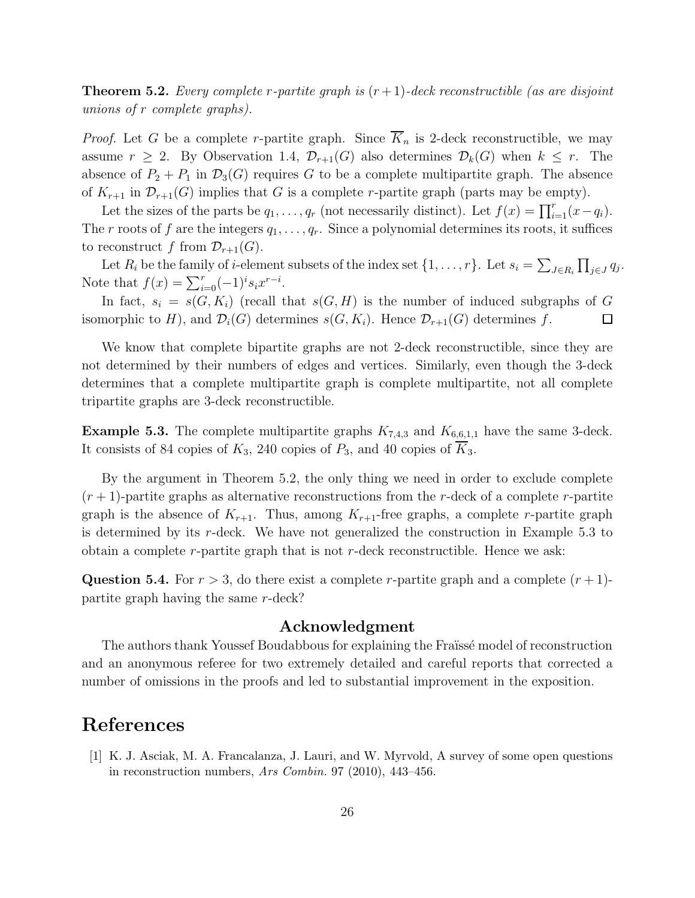**Theorem 5.2.** Every complete r-partite graph is  $(r+1)$ -deck reconstructible (as are disjoint unions of r complete graphs).

*Proof.* Let G be a complete r-partite graph. Since  $\overline{K}_n$  is 2-deck reconstructible, we may assume  $r \geq 2$ . By Observation 1.4,  $\mathcal{D}_{r+1}(G)$  also determines  $\mathcal{D}_k(G)$  when  $k \leq r$ . The absence of  $P_2 + P_1$  in  $\mathcal{D}_3(G)$  requires G to be a complete multipartite graph. The absence of  $K_{r+1}$  in  $\mathcal{D}_{r+1}(G)$  implies that G is a complete r-partite graph (parts may be empty).

Let the sizes of the parts be  $q_1, \ldots, q_r$  (not necessarily distinct). Let  $f(x) = \prod_{i=1}^r (x - q_i)$ . The r roots of f are the integers  $q_1, \ldots, q_r$ . Since a polynomial determines its roots, it suffices to reconstruct f from  $\mathcal{D}_{r+1}(G)$ .

Let  $R_i$  be the family of *i*-element subsets of the index set  $\{1, \ldots, r\}$ . Let  $s_i = \sum_{J \in R_i} \prod_{j \in J} q_j$ . Note that  $f(x) = \sum_{i=0}^{r} (-1)^{i} s_i x^{r-i}$ .

In fact,  $s_i = s(G, K_i)$  (recall that  $s(G, H)$  is the number of induced subgraphs of G isomorphic to H), and  $\mathcal{D}_i(G)$  determines  $s(G, K_i)$ . Hence  $\mathcal{D}_{r+1}(G)$  determines f. □

We know that complete bipartite graphs are not 2-deck reconstructible, since they are not determined by their numbers of edges and vertices. Similarly, even though the 3-deck determines that a complete multipartite graph is complete multipartite, not all complete tripartite graphs are 3-deck reconstructible.

**Example 5.3.** The complete multipartite graphs  $K_{7,4,3}$  and  $K_{6,6,1,1}$  have the same 3-deck. It consists of 84 copies of  $K_3$ , 240 copies of  $P_3$ , and 40 copies of  $\overline{K}_3$ .

By the argument in Theorem 5.2, the only thing we need in order to exclude complete  $(r+1)$ -partite graphs as alternative reconstructions from the r-deck of a complete r-partite graph is the absence of  $K_{r+1}$ . Thus, among  $K_{r+1}$ -free graphs, a complete r-partite graph is determined by its  $r$ -deck. We have not generalized the construction in Example 5.3 to obtain a complete  $r$ -partite graph that is not  $r$ -deck reconstructible. Hence we ask:

**Question 5.4.** For  $r > 3$ , do there exist a complete r-partite graph and a complete  $(r + 1)$ partite graph having the same r-deck?

#### Acknowledgment

The authors thank Youssef Boudabbous for explaining the Fraïssé model of reconstruction and an anonymous referee for two extremely detailed and careful reports that corrected a number of omissions in the proofs and led to substantial improvement in the exposition.

### References

[1] K. J. Asciak, M. A. Francalanza, J. Lauri, and W. Myrvold, A survey of some open questions in reconstruction numbers, Ars Combin. 97 (2010), 443–456.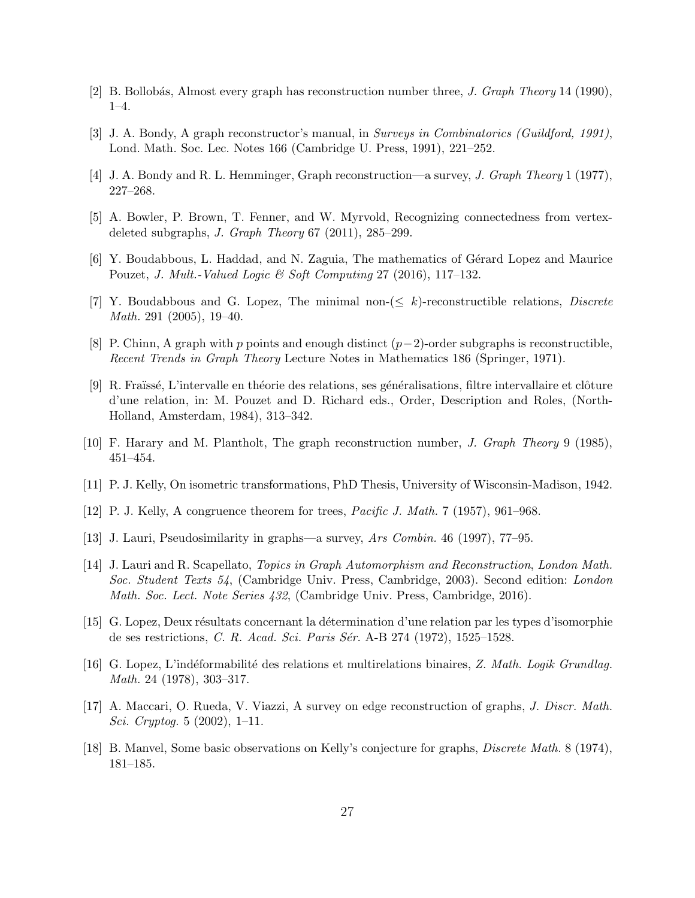- [2] B. Bollobás, Almost every graph has reconstruction number three, J. Graph Theory 14 (1990), 1–4.
- [3] J. A. Bondy, A graph reconstructor's manual, in Surveys in Combinatorics (Guildford, 1991), Lond. Math. Soc. Lec. Notes 166 (Cambridge U. Press, 1991), 221–252.
- [4] J. A. Bondy and R. L. Hemminger, Graph reconstruction—a survey, J. Graph Theory 1 (1977), 227–268.
- [5] A. Bowler, P. Brown, T. Fenner, and W. Myrvold, Recognizing connectedness from vertexdeleted subgraphs, *J. Graph Theory*  $67$   $(2011)$ ,  $285-299$ .
- [6] Y. Boudabbous, L. Haddad, and N. Zaguia, The mathematics of G´erard Lopez and Maurice Pouzet, J. Mult.-Valued Logic & Soft Computing  $27$  (2016), 117–132.
- [7] Y. Boudabbous and G. Lopez, The minimal non- $\leq k$ )-reconstructible relations, *Discrete* Math. 291 (2005), 19–40.
- [8] P. Chinn, A graph with p points and enough distinct  $(p-2)$ -order subgraphs is reconstructible. Recent Trends in Graph Theory Lecture Notes in Mathematics 186 (Springer, 1971).
- [9] R. Fraïssé, L'intervalle en théorie des relations, ses généralisations, filtre intervallaire et clôture d'une relation, in: M. Pouzet and D. Richard eds., Order, Description and Roles, (North-Holland, Amsterdam, 1984), 313–342.
- [10] F. Harary and M. Plantholt, The graph reconstruction number, J. Graph Theory 9 (1985), 451–454.
- [11] P. J. Kelly, On isometric transformations, PhD Thesis, University of Wisconsin-Madison, 1942.
- [12] P. J. Kelly, A congruence theorem for trees, Pacific J. Math. 7 (1957), 961–968.
- [13] J. Lauri, Pseudosimilarity in graphs—a survey, Ars Combin. 46 (1997), 77–95.
- [14] J. Lauri and R. Scapellato, Topics in Graph Automorphism and Reconstruction, London Math. Soc. Student Texts 54, (Cambridge Univ. Press, Cambridge, 2003). Second edition: London Math. Soc. Lect. Note Series 432, (Cambridge Univ. Press, Cambridge, 2016).
- [15] G. Lopez, Deux résultats concernant la détermination d'une relation par les types d'isomorphie de ses restrictions, C. R. Acad. Sci. Paris Sér. A-B 274 (1972), 1525–1528.
- [16] G. Lopez, L'indéformabilité des relations et multirelations binaires, Z. Math. Logik Grundlag. Math. 24 (1978), 303–317.
- [17] A. Maccari, O. Rueda, V. Viazzi, A survey on edge reconstruction of graphs, J. Discr. Math. Sci. Cryptog. 5 (2002), 1–11.
- [18] B. Manvel, Some basic observations on Kelly's conjecture for graphs, Discrete Math. 8 (1974), 181–185.